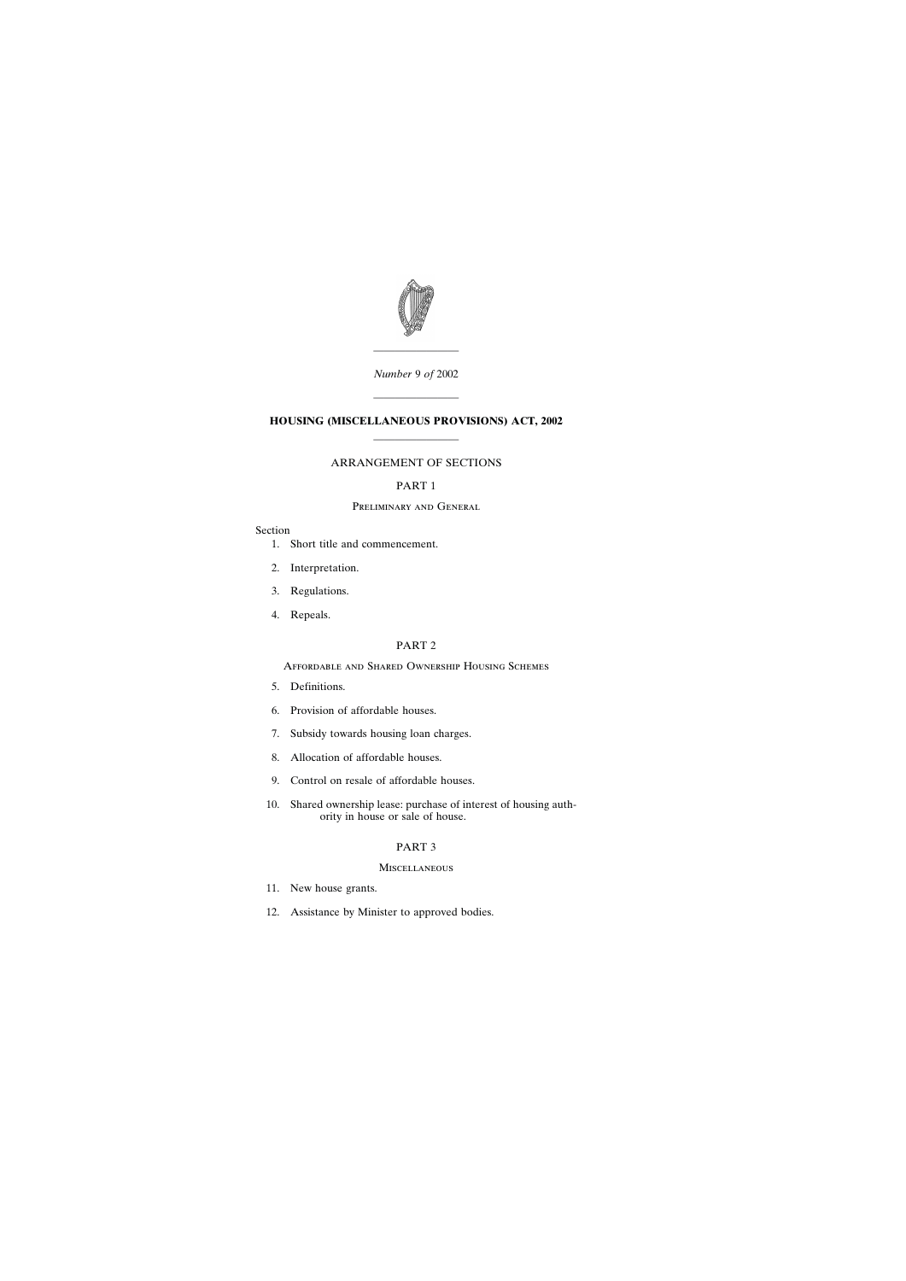

*Number* 9 *of* 2002

————————

————————

# **HOUSING (MISCELLANEOUS PROVISIONS) ACT, 2002** ————————

## ARRANGEMENT OF SECTIONS

# PART 1

## Preliminary and General

## Section

- [1. Short title and commencement.](#page-4-0)
- [2. Interpretation.](#page-5-0)
- [3. Regulations.](#page-5-0)
- [4. Repeals.](#page-6-0)

## PART 2

## Affordable and Shared Ownership Housing Schemes

- [5. Definitions.](#page-6-0)
- [6. Provision of affordable houses.](#page-6-0)
- [7. Subsidy towards housing loan charges.](#page-7-0)
- [8. Allocation of affordable houses.](#page-7-0)
- [9. Control on resale of affordable houses.](#page-8-0)
- [10. Shared ownership lease: purchase of interest of housing auth](#page-9-0)[ority in house or sale of house.](#page-9-0)

## PART 3

## **MISCELLANEOUS**

- [11. New house grants.](#page-10-0)
- [12. Assistance by Minister to approved bodies.](#page-11-0)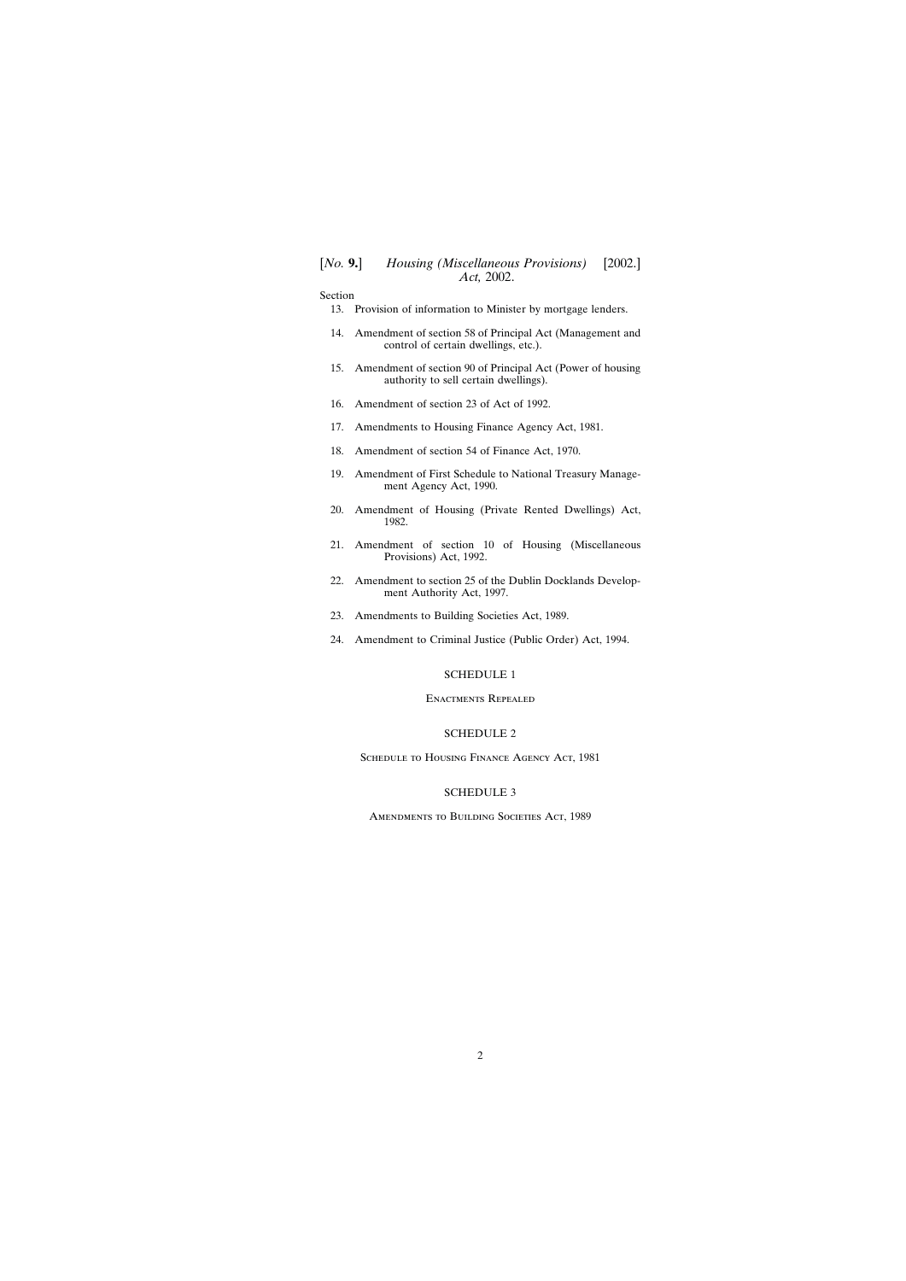Section

[13. Provision of information to Minister by mortgage lenders.](#page-12-0)

- [14. Amendment of section 58 of Principal Act \(Management and](#page-13-0) [control of certain dwellings, etc.\).](#page-13-0)
- [15. Amendment of section 90 of Principal Act \(Power of housing](#page-14-0) [authority to sell certain dwellings\).](#page-14-0)
- [16. Amendment of section 23 of Act of 1992.](#page-14-0)
- [17. Amendments to Housing Finance Agency Act, 1981.](#page-16-0)
- [18. Amendment of section 54 of Finance Act, 1970.](#page-18-0)
- [19. Amendment of First Schedule to National Treasury Manage](#page-19-0)[ment Agency Act, 1990.](#page-19-0)
- [20. Amendment of Housing \(Private Rented Dwellings\) Act,](#page-19-0) [1982.](#page-19-0)
- [21. Amendment of section 10 of Housing \(Miscellaneous](#page-20-0) [Provisions\) Act, 1992.](#page-20-0)
- [22. Amendment to section 25 of the Dublin Docklands Develop](#page-21-0)[ment Authority Act, 1997.](#page-21-0)
- [23. Amendments to Building Societies Act, 1989.](#page-22-0)
- [24. Amendment to Criminal Justice \(Public Order\) Act, 1994.](#page-22-0)

## [SCHEDULE 1](#page-28-0)

## Enactments Repealed

#### [SCHEDULE 2](#page-28-0)

SCHEDULE TO HOUSING FINANCE AGENCY ACT, 1981

## [SCHEDULE 3](#page-28-0)

Amendments to Building Societies Act, 1989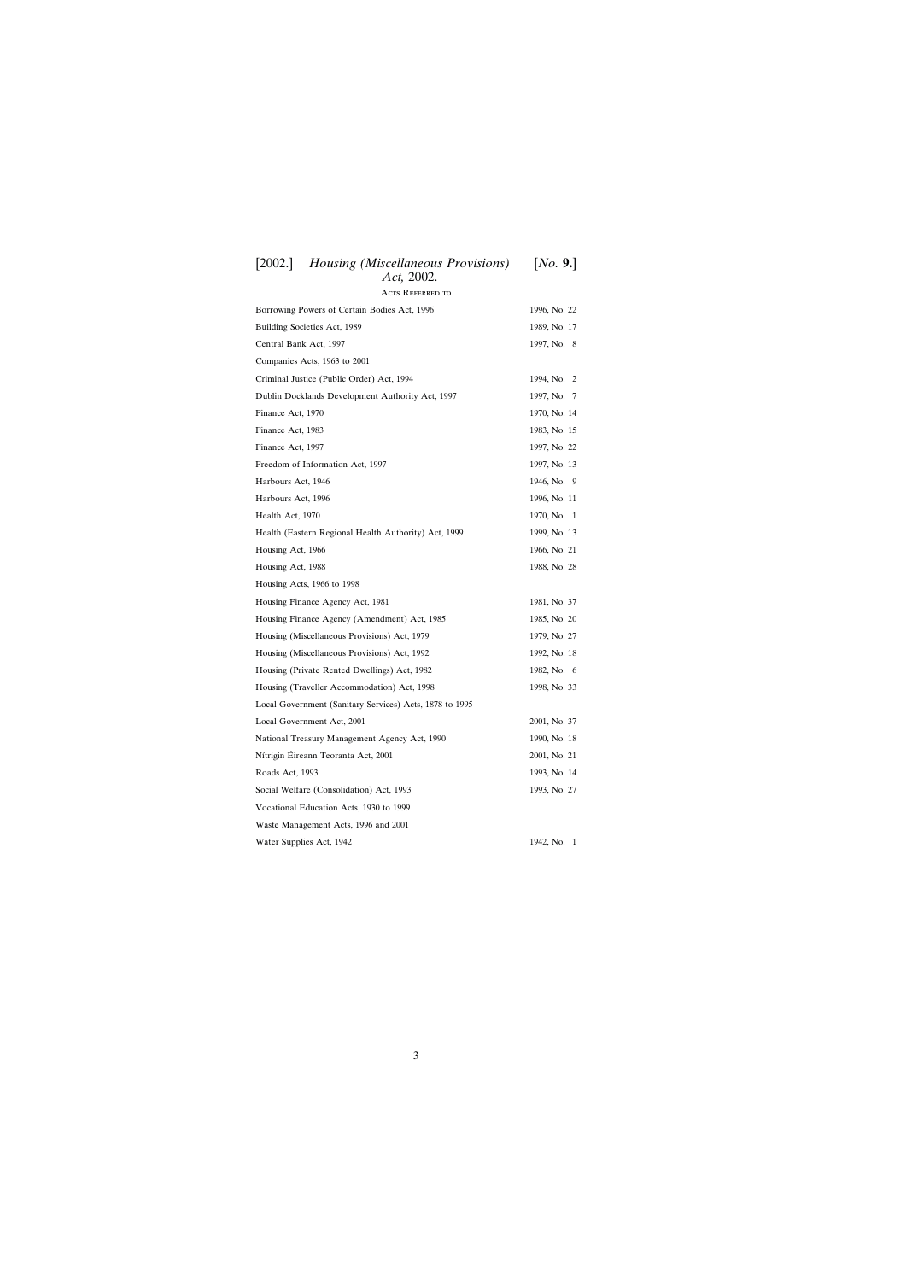| $\lfloor 2002.1 \rfloor$<br>Housing (Miscellaneous Provisions)<br>Act, 2002. | [NO. 9.]     |
|------------------------------------------------------------------------------|--------------|
| <b>ACTS REFERRED TO</b>                                                      |              |
| Borrowing Powers of Certain Bodies Act, 1996                                 | 1996, No. 22 |
| Building Societies Act, 1989                                                 | 1989, No. 17 |
| Central Bank Act, 1997                                                       | 1997, No. 8  |
| Companies Acts, 1963 to 2001                                                 |              |
| Criminal Justice (Public Order) Act, 1994                                    | 1994, No. 2  |
| Dublin Docklands Development Authority Act, 1997                             | 1997, No. 7  |
| Finance Act, 1970                                                            | 1970, No. 14 |
| Finance Act, 1983                                                            | 1983, No. 15 |
| Finance Act, 1997                                                            | 1997, No. 22 |
| Freedom of Information Act, 1997                                             | 1997, No. 13 |
| Harbours Act, 1946                                                           | 1946, No. 9  |
| Harbours Act, 1996                                                           | 1996, No. 11 |
| Health Act, 1970                                                             | 1970, No. 1  |
| Health (Eastern Regional Health Authority) Act, 1999                         | 1999, No. 13 |
| Housing Act, 1966                                                            | 1966, No. 21 |
| Housing Act, 1988                                                            | 1988, No. 28 |
| Housing Acts, 1966 to 1998                                                   |              |
| Housing Finance Agency Act, 1981                                             | 1981, No. 37 |
| Housing Finance Agency (Amendment) Act, 1985                                 | 1985, No. 20 |
| Housing (Miscellaneous Provisions) Act, 1979                                 | 1979, No. 27 |
| Housing (Miscellaneous Provisions) Act, 1992                                 | 1992, No. 18 |
| Housing (Private Rented Dwellings) Act, 1982                                 | 1982, No. 6  |
| Housing (Traveller Accommodation) Act, 1998                                  | 1998, No. 33 |
| Local Government (Sanitary Services) Acts, 1878 to 1995                      |              |
| Local Government Act, 2001                                                   | 2001, No. 37 |
| National Treasury Management Agency Act, 1990                                | 1990, No. 18 |
| Nítrigin Éireann Teoranta Act, 2001                                          | 2001, No. 21 |
| Roads Act, 1993                                                              | 1993, No. 14 |
| Social Welfare (Consolidation) Act, 1993                                     | 1993, No. 27 |
| Vocational Education Acts, 1930 to 1999                                      |              |
| Waste Management Acts, 1996 and 2001                                         |              |
| Water Supplies Act, 1942                                                     | 1942, No. 1  |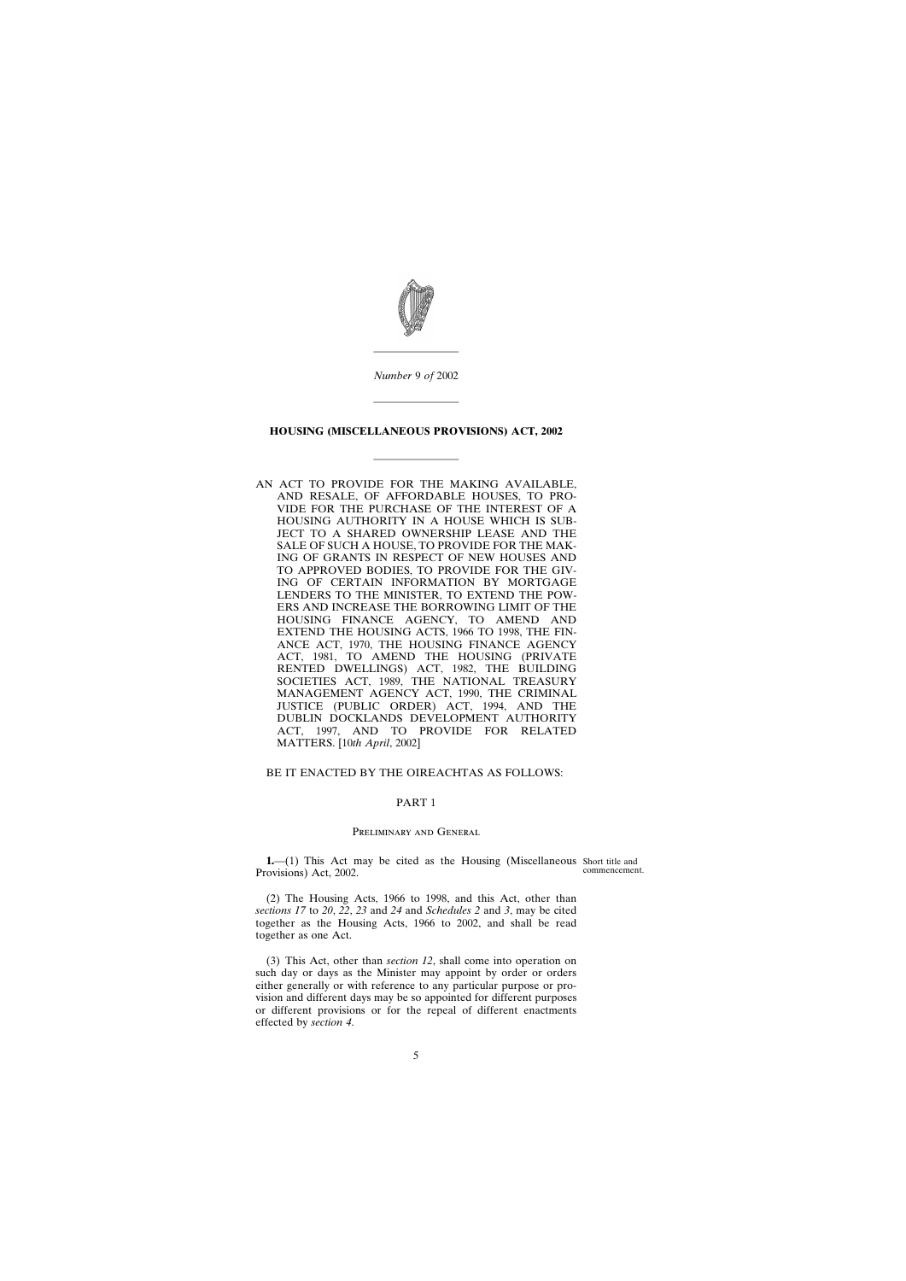<span id="page-4-0"></span>

*Number* 9 *of* 2002

————————

————————

#### **HOUSING (MISCELLANEOUS PROVISIONS) ACT, 2002**

————————

AN ACT TO PROVIDE FOR THE MAKING AVAILABLE, AND RESALE, OF AFFORDABLE HOUSES, TO PRO-VIDE FOR THE PURCHASE OF THE INTEREST OF A HOUSING AUTHORITY IN A HOUSE WHICH IS SUB-JECT TO A SHARED OWNERSHIP LEASE AND THE SALE OF SUCH A HOUSE, TO PROVIDE FOR THE MAK-ING OF GRANTS IN RESPECT OF NEW HOUSES AND TO APPROVED BODIES, TO PROVIDE FOR THE GIV-ING OF CERTAIN INFORMATION BY MORTGAGE LENDERS TO THE MINISTER, TO EXTEND THE POW-ERS AND INCREASE THE BORROWING LIMIT OF THE HOUSING FINANCE AGENCY, TO AMEND AND EXTEND THE HOUSING ACTS, 1966 TO 1998, THE FIN-ANCE ACT, 1970, THE HOUSING FINANCE AGENCY ACT, 1981, TO AMEND THE HOUSING (PRIVATE RENTED DWELLINGS) ACT, 1982, THE BUILDING SOCIETIES ACT, 1989, THE NATIONAL TREASURY MANAGEMENT AGENCY ACT, 1990, THE CRIMINAL JUSTICE (PUBLIC ORDER) ACT, 1994, AND THE DUBLIN DOCKLANDS DEVELOPMENT AUTHORITY ACT, 1997, AND TO PROVIDE FOR RELATED MATTERS. [10*th April*, 2002]

BE IT ENACTED BY THE OIREACHTAS AS FOLLOWS:

## PART 1

## Preliminary and General

**1.**—(1) This Act may be cited as the Housing (Miscellaneous Short title and Provisions) Act, 2002.

commencement.

(2) The Housing Acts, 1966 to 1998, and this Act, other than *sections 17* to *20*, *22*, *23* and *24* and *Schedules 2* and *3*, may be cited together as the Housing Acts, 1966 to 2002, and shall be read together as one Act.

(3) This Act, other than *section 12*, shall come into operation on such day or days as the Minister may appoint by order or orders either generally or with reference to any particular purpose or provision and different days may be so appointed for different purposes or different provisions or for the repeal of different enactments effected by *section 4*.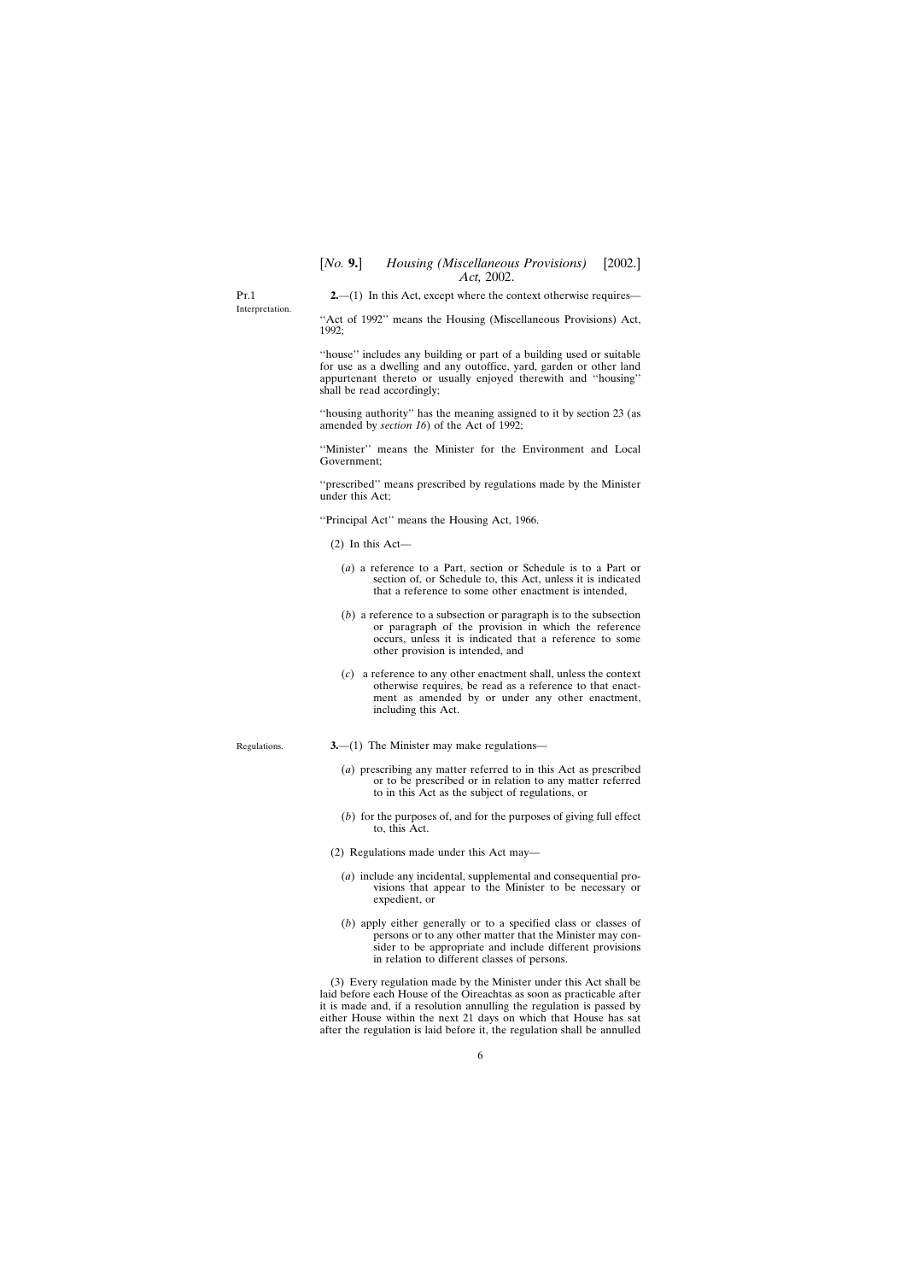<span id="page-5-0"></span>Pt.1 Interpretation. **2.**—(1) In this Act, except where the context otherwise requires—

"Act of 1992" means the Housing (Miscellaneous Provisions) Act, 1992;

''house'' includes any building or part of a building used or suitable for use as a dwelling and any outoffice, yard, garden or other land appurtenant thereto or usually enjoyed therewith and ''housing'' shall be read accordingly;

''housing authority'' has the meaning assigned to it by section 23 (as amended by *section 16*) of the Act of 1992;

''Minister'' means the Minister for the Environment and Local Government;

''prescribed'' means prescribed by regulations made by the Minister under this Act;

''Principal Act'' means the Housing Act, 1966.

(2) In this Act—

- (*a*) a reference to a Part, section or Schedule is to a Part or section of, or Schedule to, this Act, unless it is indicated that a reference to some other enactment is intended,
- (*b*) a reference to a subsection or paragraph is to the subsection or paragraph of the provision in which the reference occurs, unless it is indicated that a reference to some other provision is intended, and
- (*c*) a reference to any other enactment shall, unless the context otherwise requires, be read as a reference to that enactment as amended by or under any other enactment, including this Act.
- Regulations.
- **3.**—(1) The Minister may make regulations—
	- (*a*) prescribing any matter referred to in this Act as prescribed or to be prescribed or in relation to any matter referred to in this Act as the subject of regulations, or
	- (*b*) for the purposes of, and for the purposes of giving full effect to, this Act.
- (2) Regulations made under this Act may—
	- (*a*) include any incidental, supplemental and consequential provisions that appear to the Minister to be necessary or expedient, or
	- (*b*) apply either generally or to a specified class or classes of persons or to any other matter that the Minister may consider to be appropriate and include different provisions in relation to different classes of persons.

(3) Every regulation made by the Minister under this Act shall be laid before each House of the Oireachtas as soon as practicable after it is made and, if a resolution annulling the regulation is passed by either House within the next 21 days on which that House has sat after the regulation is laid before it, the regulation shall be annulled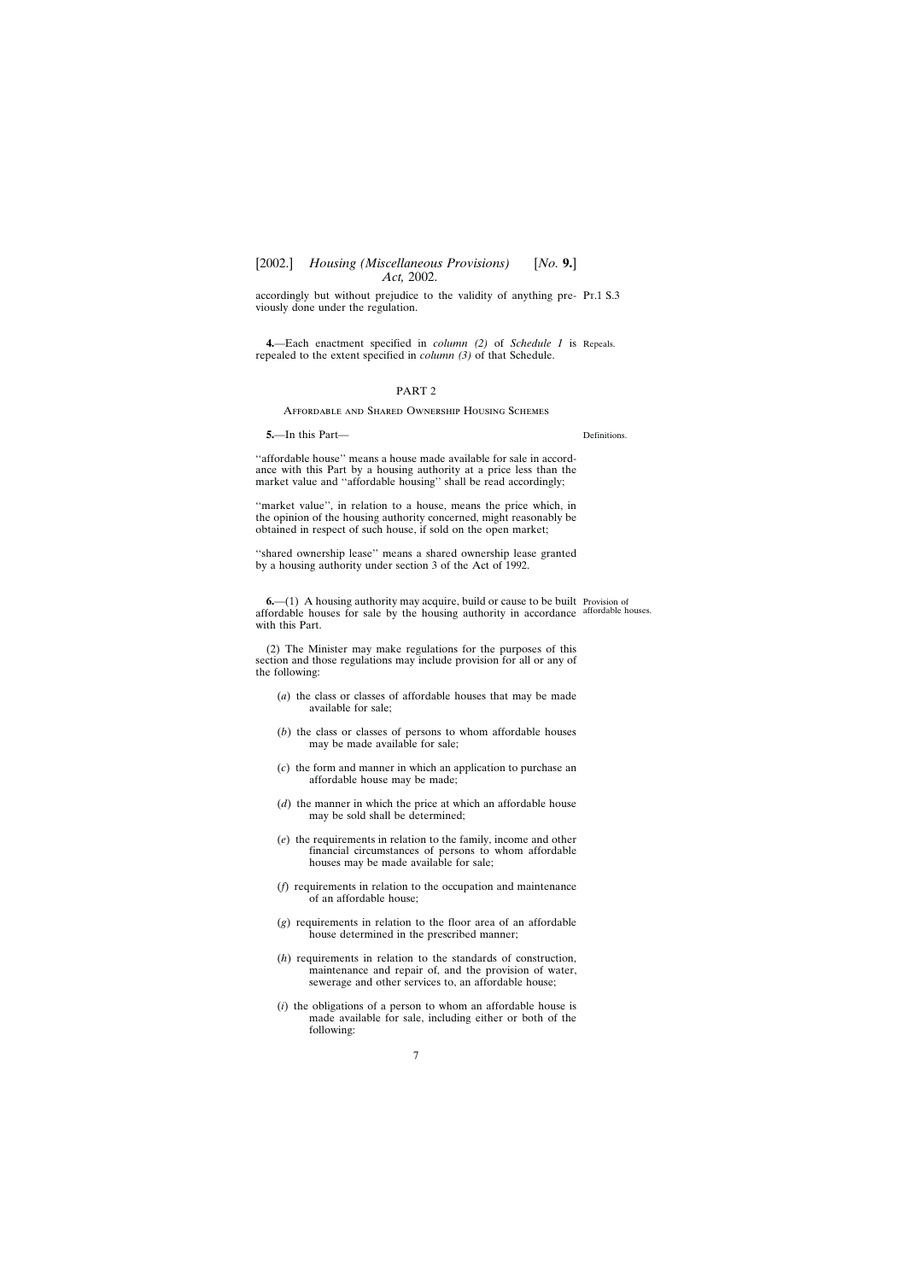<span id="page-6-0"></span>accordingly but without prejudice to the validity of anything pre- Pr.1 S.3 viously done under the regulation.

**4.**—Each enactment specified in *column (2)* of *Schedule 1* is Repeals. repealed to the extent specified in *column (3)* of that Schedule.

#### PART 2

## Affordable and Shared Ownership Housing Schemes

**5.**—In this Part—

''affordable house'' means a house made available for sale in accordance with this Part by a housing authority at a price less than the market value and ''affordable housing'' shall be read accordingly;

"market value", in relation to a house, means the price which, in the opinion of the housing authority concerned, might reasonably be obtained in respect of such house, if sold on the open market;

"shared ownership lease" means a shared ownership lease granted by a housing authority under section 3 of the Act of 1992.

**6.—(1)** A housing authority may acquire, build or cause to be built Provision of affordable houses for sale by the housing authority in accordance affordable houses.with this Part.

(2) The Minister may make regulations for the purposes of this section and those regulations may include provision for all or any of the following:

- (*a*) the class or classes of affordable houses that may be made available for sale;
- (*b*) the class or classes of persons to whom affordable houses may be made available for sale;
- (*c*) the form and manner in which an application to purchase an affordable house may be made;
- (*d*) the manner in which the price at which an affordable house may be sold shall be determined;
- (*e*) the requirements in relation to the family, income and other financial circumstances of persons to whom affordable houses may be made available for sale;
- (*f*) requirements in relation to the occupation and maintenance of an affordable house;
- (*g*) requirements in relation to the floor area of an affordable house determined in the prescribed manner;
- (*h*) requirements in relation to the standards of construction, maintenance and repair of, and the provision of water, sewerage and other services to, an affordable house;
- (*i*) the obligations of a person to whom an affordable house is made available for sale, including either or both of the following:

Definitions.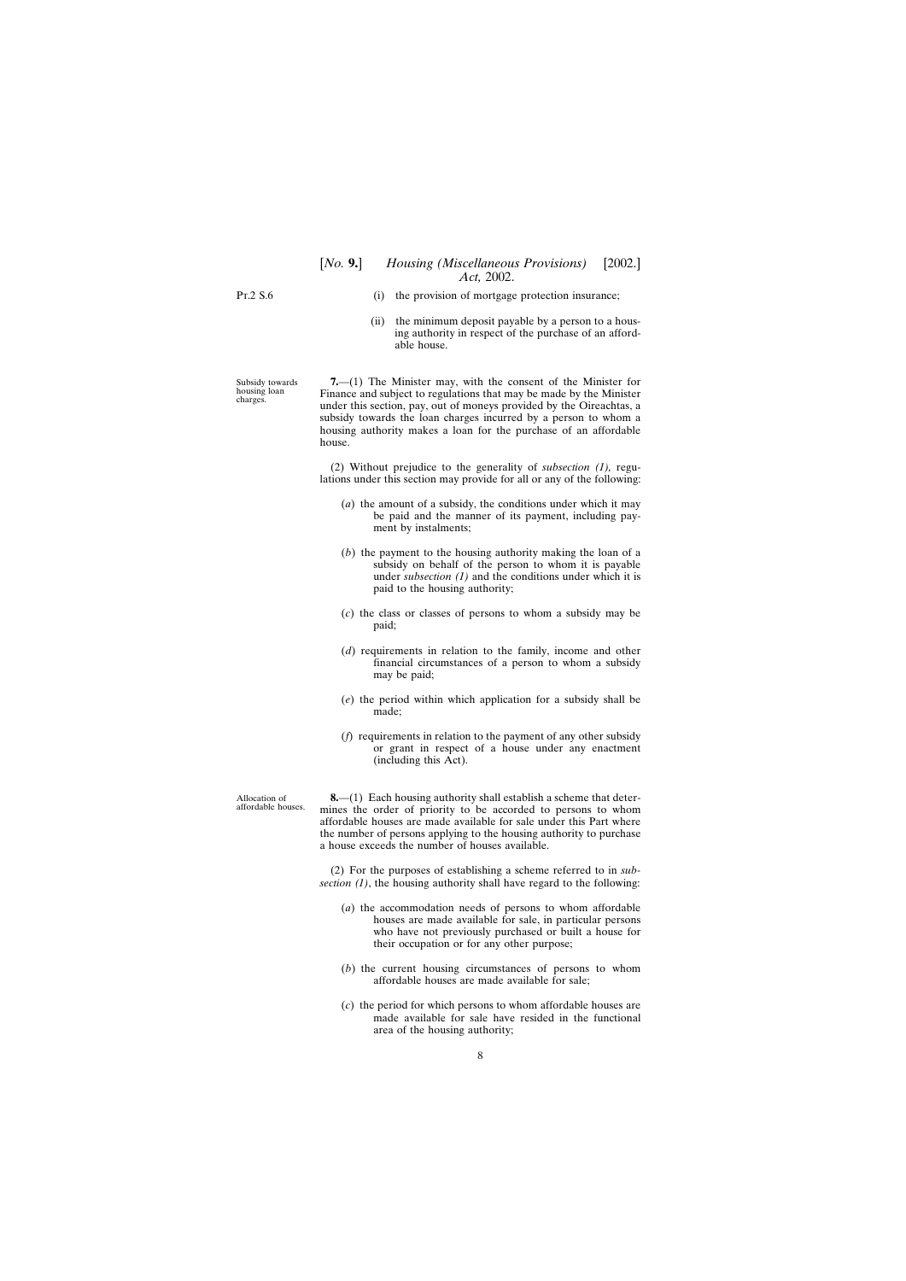<span id="page-7-0"></span>Pt.2 S.6

- (i) the provision of mortgage protection insurance;
- (ii) the minimum deposit payable by a person to a housing authority in respect of the purchase of an affordable house.

**7.**—(1) The Minister may, with the consent of the Minister for Finance and subject to regulations that may be made by the Minister under this section, pay, out of moneys provided by the Oireachtas, a subsidy towards the loan charges incurred by a person to whom a housing authority makes a loan for the purchase of an affordable house.

(2) Without prejudice to the generality of *subsection (1),* regulations under this section may provide for all or any of the following:

- (*a*) the amount of a subsidy, the conditions under which it may be paid and the manner of its payment, including payment by instalments;
- (*b*) the payment to the housing authority making the loan of a subsidy on behalf of the person to whom it is payable under *subsection (1)* and the conditions under which it is paid to the housing authority;
- (*c*) the class or classes of persons to whom a subsidy may be paid;
- (*d*) requirements in relation to the family, income and other financial circumstances of a person to whom a subsidy may be paid;
- (*e*) the period within which application for a subsidy shall be made;
- (*f*) requirements in relation to the payment of any other subsidy or grant in respect of a house under any enactment (including this Act).

**8.**—(1) Each housing authority shall establish a scheme that determines the order of priority to be accorded to persons to whom affordable houses are made available for sale under this Part where the number of persons applying to the housing authority to purchase a house exceeds the number of houses available.

(2) For the purposes of establishing a scheme referred to in *subsection (1)*, the housing authority shall have regard to the following:

- (*a*) the accommodation needs of persons to whom affordable houses are made available for sale, in particular persons who have not previously purchased or built a house for their occupation or for any other purpose;
- (*b*) the current housing circumstances of persons to whom affordable houses are made available for sale;
- (*c*) the period for which persons to whom affordable houses are made available for sale have resided in the functional area of the housing authority;

Subsidy towards housing loan charges.

Allocation of affordable houses.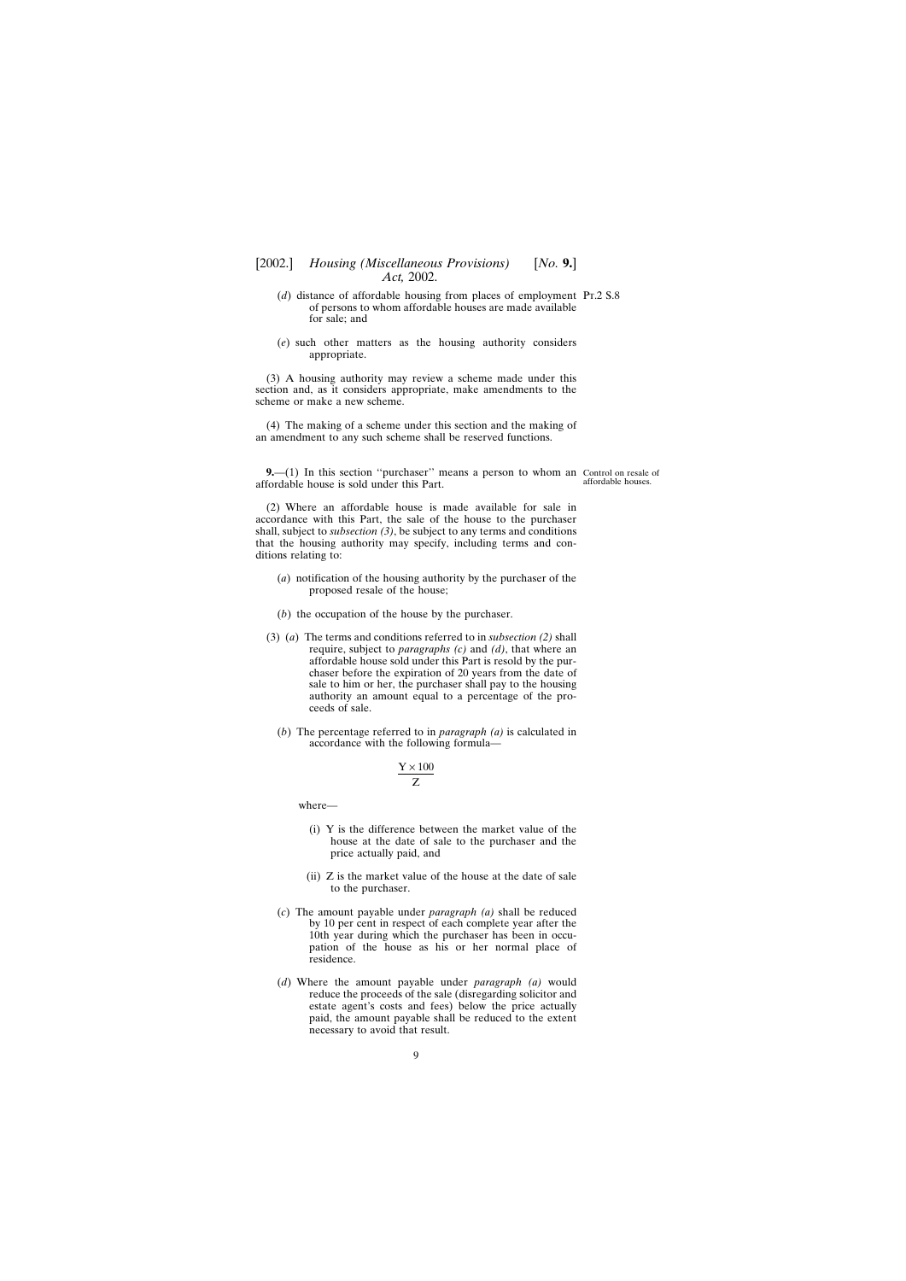- <span id="page-8-0"></span>(*d*) distance of affordable housing from places of employment Pt.2 S.8 of persons to whom affordable houses are made available for sale; and
- (*e*) such other matters as the housing authority considers appropriate.

(3) A housing authority may review a scheme made under this section and, as it considers appropriate, make amendments to the scheme or make a new scheme.

(4) The making of a scheme under this section and the making of an amendment to any such scheme shall be reserved functions.

**9.**—(1) In this section "purchaser" means a person to whom an Control on resale of affordable house is sold under this Part.

affordable houses.

(2) Where an affordable house is made available for sale in accordance with this Part, the sale of the house to the purchaser shall, subject to *subsection (3)*, be subject to any terms and conditions that the housing authority may specify, including terms and conditions relating to:

- (*a*) notification of the housing authority by the purchaser of the proposed resale of the house;
- (*b*) the occupation of the house by the purchaser.
- (3) (*a*) The terms and conditions referred to in *subsection (2)* shall require, subject to *paragraphs (c)* and *(d)*, that where an affordable house sold under this Part is resold by the purchaser before the expiration of 20 years from the date of sale to him or her, the purchaser shall pay to the housing authority an amount equal to a percentage of the proceeds of sale.
	- (*b*) The percentage referred to in *paragraph (a)* is calculated in accordance with the following formula—

$$
\frac{Y \times 100}{Z}
$$

where—

- (i) Y is the difference between the market value of the house at the date of sale to the purchaser and the price actually paid, and
- (ii) Z is the market value of the house at the date of sale to the purchaser.
- (*c*) The amount payable under *paragraph (a)* shall be reduced by 10 per cent in respect of each complete year after the 10th year during which the purchaser has been in occupation of the house as his or her normal place of residence.
- (*d*) Where the amount payable under *paragraph (a)* would reduce the proceeds of the sale (disregarding solicitor and estate agent's costs and fees) below the price actually paid, the amount payable shall be reduced to the extent necessary to avoid that result.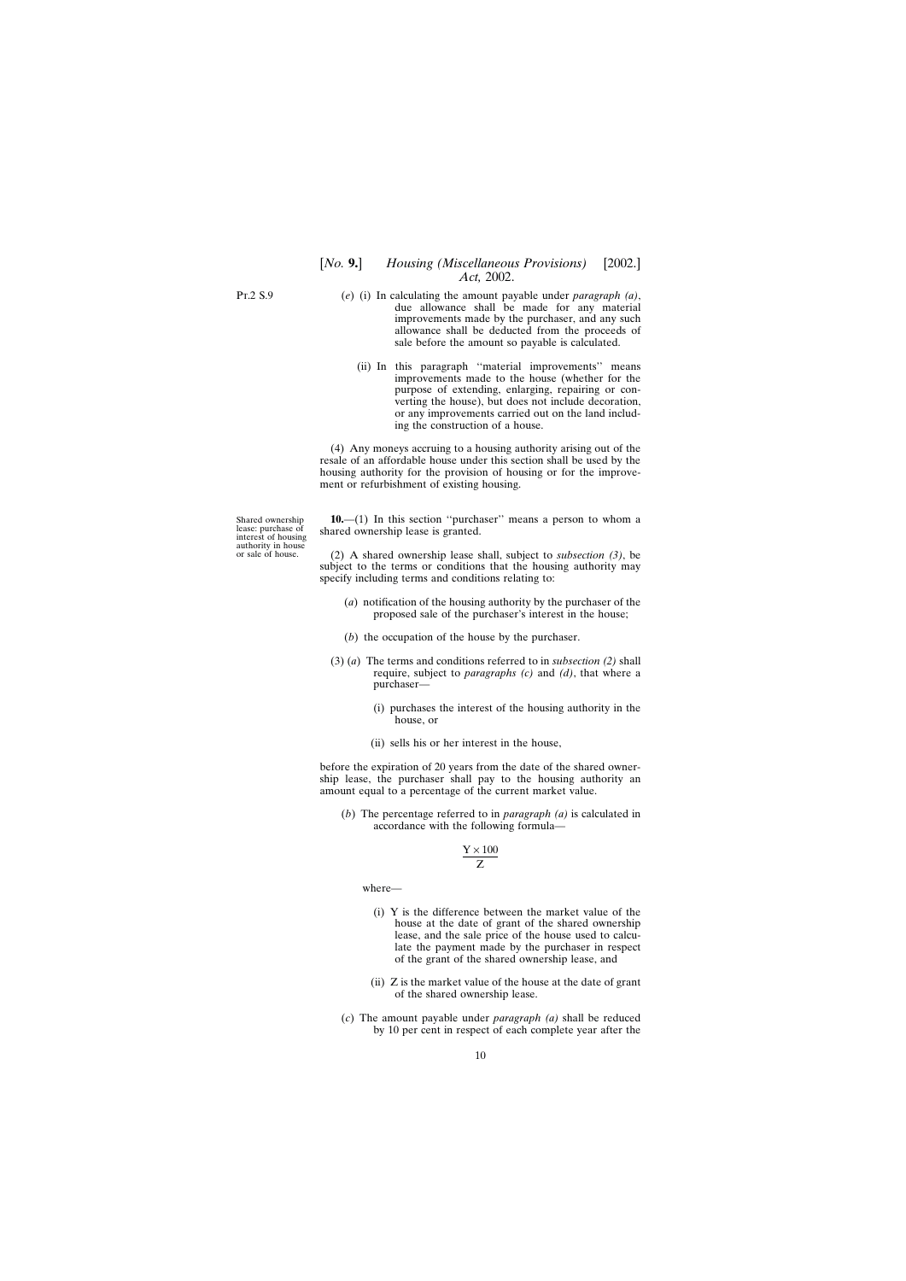<span id="page-9-0"></span>Pt.2 S.9

- (*e*) (i) In calculating the amount payable under *paragraph (a)*, due allowance shall be made for any material improvements made by the purchaser, and any such allowance shall be deducted from the proceeds of sale before the amount so payable is calculated.
	- (ii) In this paragraph ''material improvements'' means improvements made to the house (whether for the purpose of extending, enlarging, repairing or converting the house), but does not include decoration, or any improvements carried out on the land including the construction of a house.

(4) Any moneys accruing to a housing authority arising out of the resale of an affordable house under this section shall be used by the housing authority for the provision of housing or for the improvement or refurbishment of existing housing.

Shared ownership lease: purchase of interest of housing authority in house or sale of house.

**10.**—(1) In this section ''purchaser'' means a person to whom a shared ownership lease is granted.

(2) A shared ownership lease shall, subject to *subsection (3)*, be subject to the terms or conditions that the housing authority may specify including terms and conditions relating to:

- (*a*) notification of the housing authority by the purchaser of the proposed sale of the purchaser's interest in the house;
- (*b*) the occupation of the house by the purchaser.
- (3) (*a*) The terms and conditions referred to in *subsection (2)* shall require, subject to *paragraphs (c)* and *(d)*, that where a purchaser—
	- (i) purchases the interest of the housing authority in the house, or
	- (ii) sells his or her interest in the house,

before the expiration of 20 years from the date of the shared ownership lease, the purchaser shall pay to the housing authority an amount equal to a percentage of the current market value.

(*b*) The percentage referred to in *paragraph (a)* is calculated in accordance with the following formula—

$$
\frac{Y \times 100}{Z}
$$

where—

- (i) Y is the difference between the market value of the house at the date of grant of the shared ownership lease, and the sale price of the house used to calculate the payment made by the purchaser in respect of the grant of the shared ownership lease, and
- (ii) Z is the market value of the house at the date of grant of the shared ownership lease.
- (*c*) The amount payable under *paragraph (a)* shall be reduced by 10 per cent in respect of each complete year after the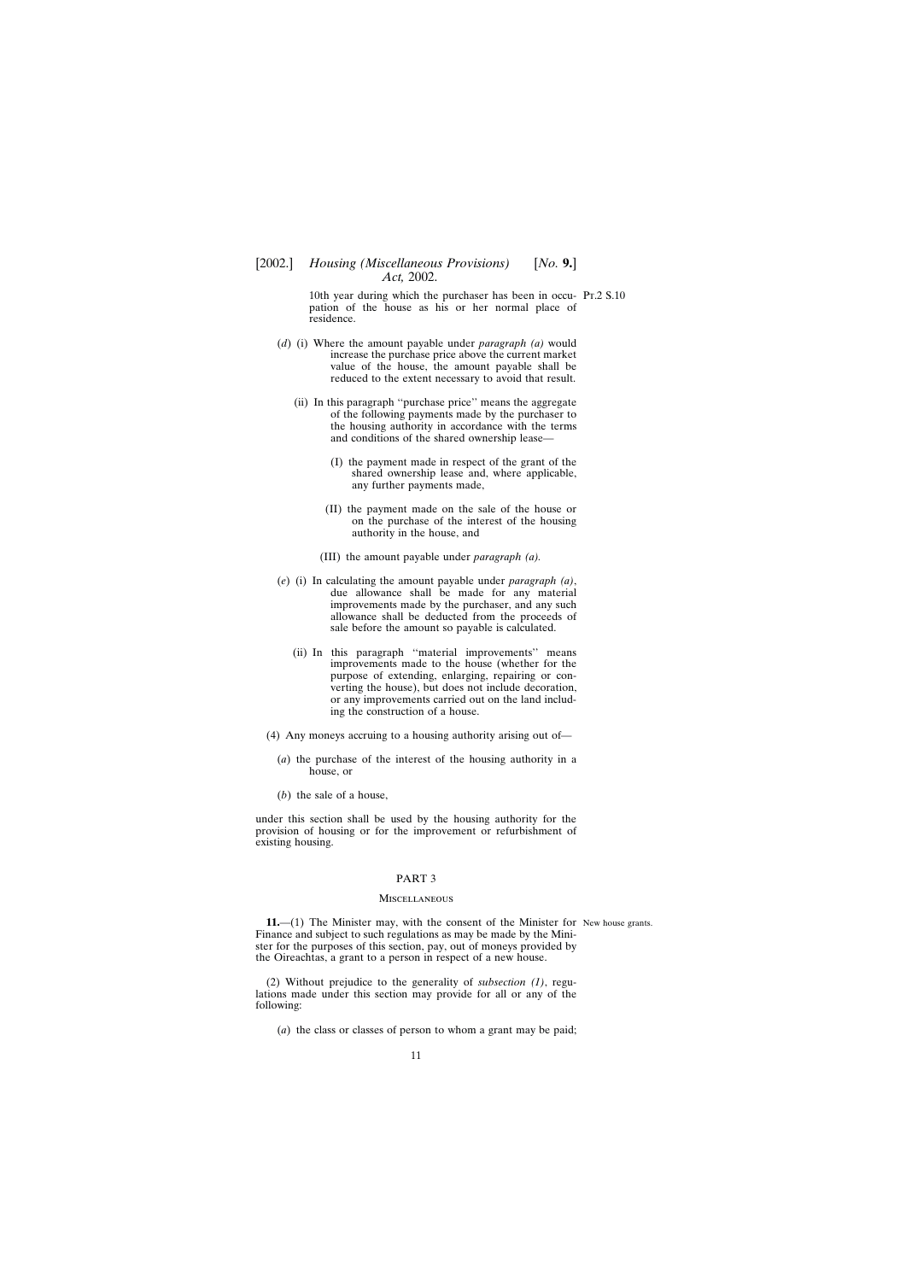## <span id="page-10-0"></span>[2002.] *Housing (Miscellaneous Provisions)* [*No.* **9.**] *Act,* 2002.

10th year during which the purchaser has been in occu- Pt.2 S.10 pation of the house as his or her normal place of residence.

- (*d*) (i) Where the amount payable under *paragraph (a)* would increase the purchase price above the current market value of the house, the amount payable shall be reduced to the extent necessary to avoid that result.
	- (ii) In this paragraph ''purchase price'' means the aggregate of the following payments made by the purchaser to the housing authority in accordance with the terms and conditions of the shared ownership lease—
		- (I) the payment made in respect of the grant of the shared ownership lease and, where applicable, any further payments made,
		- (II) the payment made on the sale of the house or on the purchase of the interest of the housing authority in the house, and
		- (III) the amount payable under *paragraph (a).*
- (*e*) (i) In calculating the amount payable under *paragraph (a)*, due allowance shall be made for any material improvements made by the purchaser, and any such allowance shall be deducted from the proceeds of sale before the amount so payable is calculated.
	- (ii) In this paragraph ''material improvements'' means improvements made to the house (whether for the purpose of extending, enlarging, repairing or converting the house), but does not include decoration, or any improvements carried out on the land including the construction of a house.
- (4) Any moneys accruing to a housing authority arising out of—
	- (*a*) the purchase of the interest of the housing authority in a house, or
	- (*b*) the sale of a house,

under this section shall be used by the housing authority for the provision of housing or for the improvement or refurbishment of existing housing.

#### PART 3

#### **MISCELLANEOUS**

**11.—(1)** The Minister may, with the consent of the Minister for New house grants. Finance and subject to such regulations as may be made by the Minister for the purposes of this section, pay, out of moneys provided by the Oireachtas, a grant to a person in respect of a new house.

(2) Without prejudice to the generality of *subsection (1)*, regulations made under this section may provide for all or any of the following:

(*a*) the class or classes of person to whom a grant may be paid;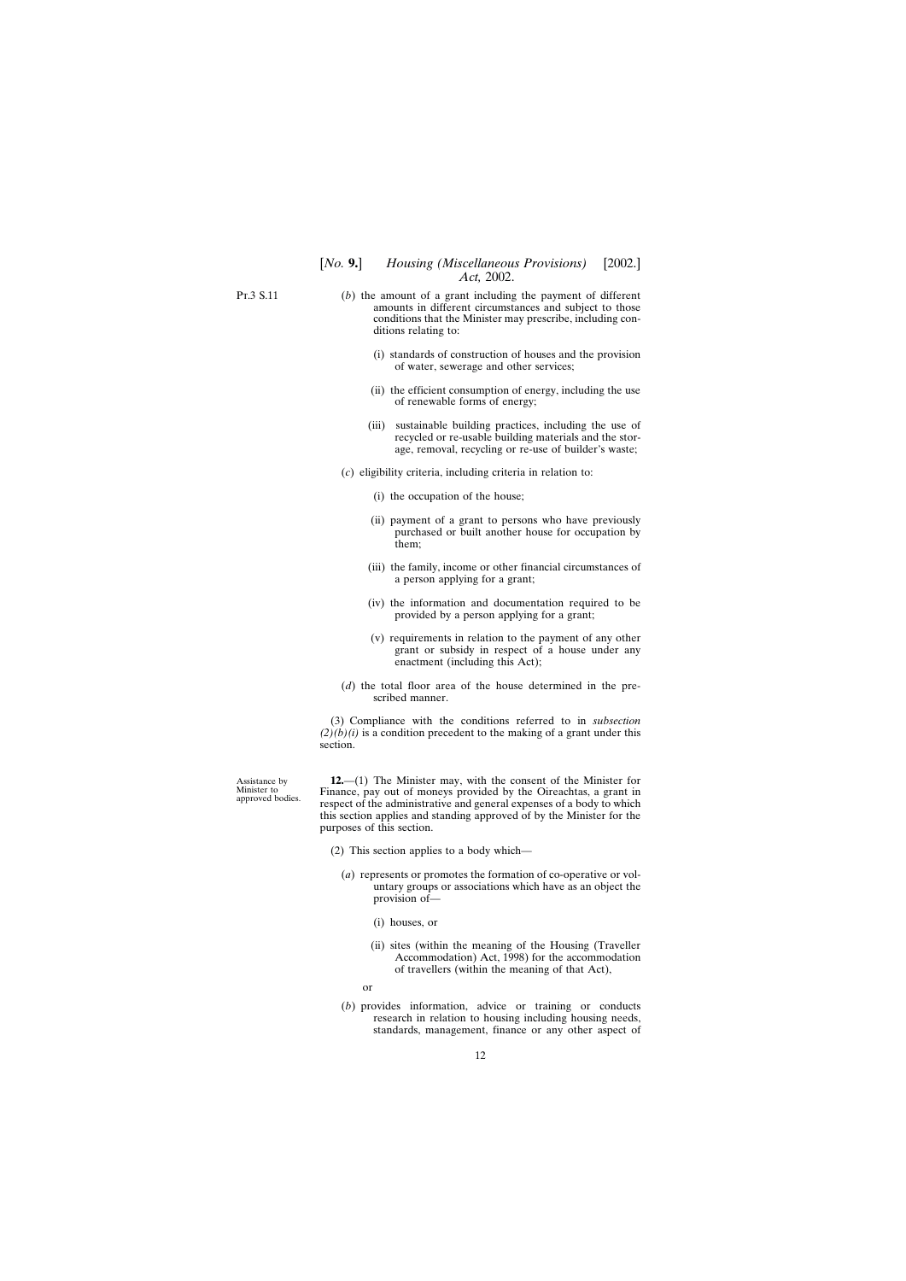<span id="page-11-0"></span>Pt.3 S.11

- (*b*) the amount of a grant including the payment of different amounts in different circumstances and subject to those conditions that the Minister may prescribe, including conditions relating to:
	- (i) standards of construction of houses and the provision of water, sewerage and other services;
	- (ii) the efficient consumption of energy, including the use of renewable forms of energy;
	- (iii) sustainable building practices, including the use of recycled or re-usable building materials and the storage, removal, recycling or re-use of builder's waste;
- (*c*) eligibility criteria, including criteria in relation to:
	- (i) the occupation of the house;
	- (ii) payment of a grant to persons who have previously purchased or built another house for occupation by them;
	- (iii) the family, income or other financial circumstances of a person applying for a grant;
	- (iv) the information and documentation required to be provided by a person applying for a grant;
	- (v) requirements in relation to the payment of any other grant or subsidy in respect of a house under any enactment (including this Act);
- (*d*) the total floor area of the house determined in the prescribed manner.

(3) Compliance with the conditions referred to in *subsection*  $(2)(b)(i)$  is a condition precedent to the making of a grant under this section.

Assistance by Minister to approved bodies.

**12.**—(1) The Minister may, with the consent of the Minister for Finance, pay out of moneys provided by the Oireachtas, a grant in respect of the administrative and general expenses of a body to which this section applies and standing approved of by the Minister for the purposes of this section.

- (2) This section applies to a body which—
	- (*a*) represents or promotes the formation of co-operative or voluntary groups or associations which have as an object the provision of—
		- (i) houses, or
		- (ii) sites (within the meaning of the Housing (Traveller Accommodation) Act, 1998) for the accommodation of travellers (within the meaning of that Act),
		- or
	- (*b*) provides information, advice or training or conducts research in relation to housing including housing needs, standards, management, finance or any other aspect of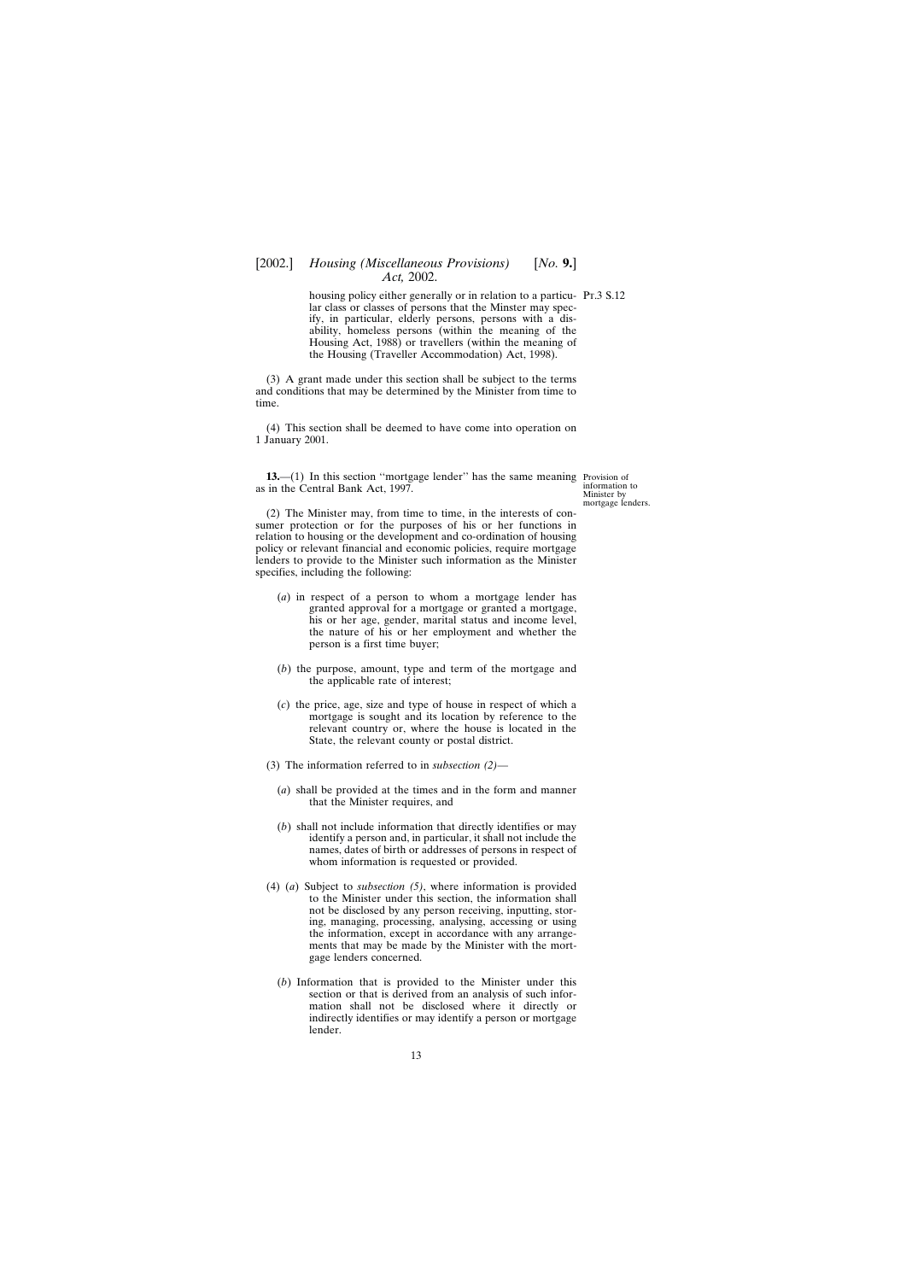## <span id="page-12-0"></span>[2002.] *Housing (Miscellaneous Provisions)* [*No.* **9.**] *Act,* 2002.

housing policy either generally or in relation to a particu- Pt.3 S.12 lar class or classes of persons that the Minster may specify, in particular, elderly persons, persons with a disability, homeless persons (within the meaning of the Housing Act, 1988) or travellers (within the meaning of the Housing (Traveller Accommodation) Act, 1998).

(3) A grant made under this section shall be subject to the terms and conditions that may be determined by the Minister from time to time.

(4) This section shall be deemed to have come into operation on 1 January 2001.

**13.**—(1) In this section "mortgage lender" has the same meaning Provision of as in the Central Bank Act, 1997.

information to Minister by mortgage lenders.

(2) The Minister may, from time to time, in the interests of consumer protection or for the purposes of his or her functions in relation to housing or the development and co-ordination of housing policy or relevant financial and economic policies, require mortgage lenders to provide to the Minister such information as the Minister specifies, including the following:

- (*a*) in respect of a person to whom a mortgage lender has granted approval for a mortgage or granted a mortgage, his or her age, gender, marital status and income level, the nature of his or her employment and whether the person is a first time buyer;
- (*b*) the purpose, amount, type and term of the mortgage and the applicable rate of interest;
- (*c*) the price, age, size and type of house in respect of which a mortgage is sought and its location by reference to the relevant country or, where the house is located in the State, the relevant county or postal district.
- (3) The information referred to in *subsection (2)*
	- (*a*) shall be provided at the times and in the form and manner that the Minister requires, and
	- (*b*) shall not include information that directly identifies or may identify a person and, in particular, it shall not include the names, dates of birth or addresses of persons in respect of whom information is requested or provided.
- (4) (*a*) Subject to *subsection (5)*, where information is provided to the Minister under this section, the information shall not be disclosed by any person receiving, inputting, storing, managing, processing, analysing, accessing or using the information, except in accordance with any arrangements that may be made by the Minister with the mortgage lenders concerned.
	- (*b*) Information that is provided to the Minister under this section or that is derived from an analysis of such information shall not be disclosed where it directly or indirectly identifies or may identify a person or mortgage lender.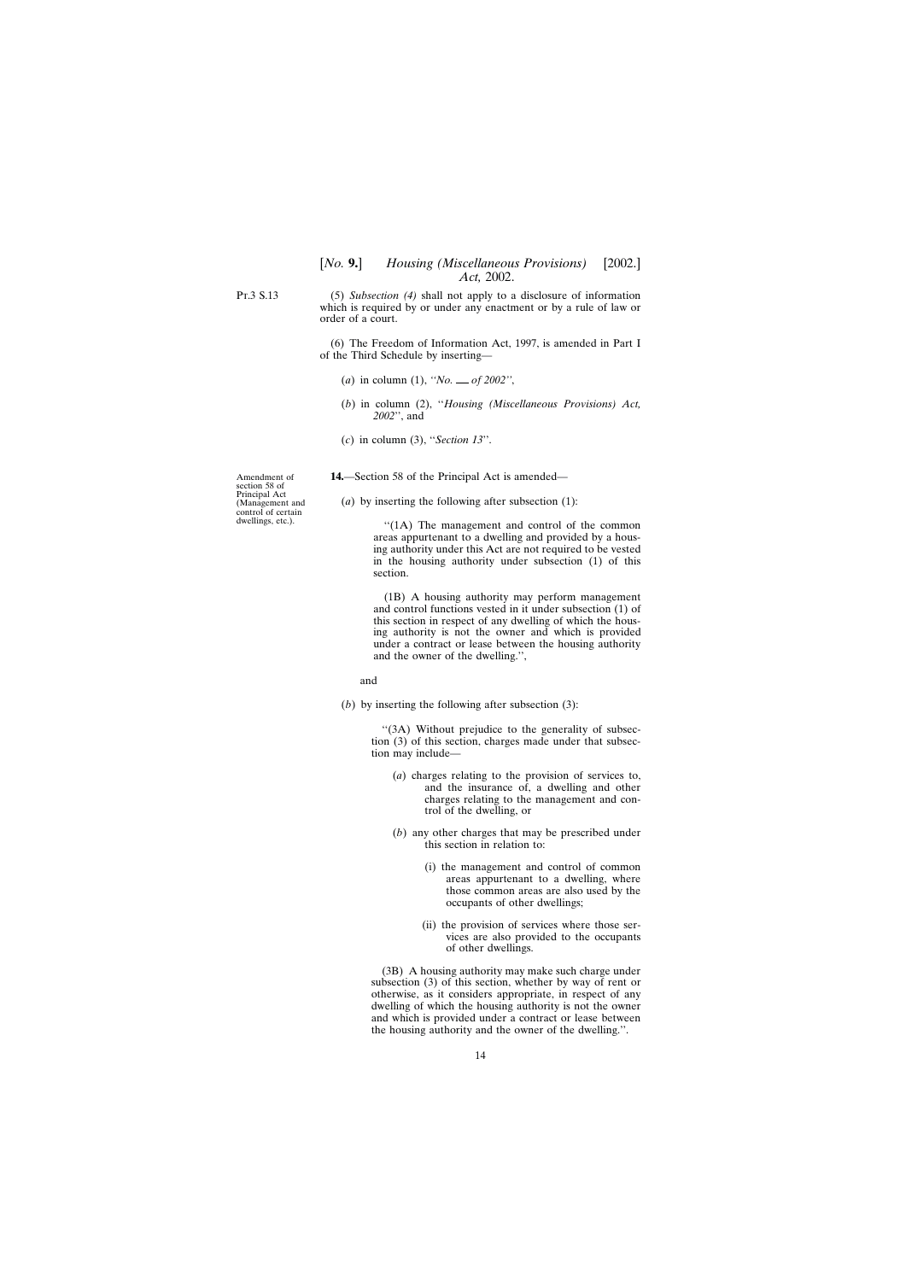<span id="page-13-0"></span>Pt.3 S.13

(5) *Subsection (4)* shall not apply to a disclosure of information which is required by or under any enactment or by a rule of law or order of a court.

(6) The Freedom of Information Act, 1997, is amended in Part I of the Third Schedule by inserting—

- (*a*) in column (1), *''No. of 2002''*,
- (*b*) in column (2), ''*Housing (Miscellaneous Provisions) Act, 2002*'', and
- (*c*) in column (3), ''*Section 13*''.

**14.**—Section 58 of the Principal Act is amended—

(*a*) by inserting the following after subsection (1):

''(1A) The management and control of the common areas appurtenant to a dwelling and provided by a housing authority under this Act are not required to be vested in the housing authority under subsection (1) of this section.

(1B) A housing authority may perform management and control functions vested in it under subsection (1) of this section in respect of any dwelling of which the housing authority is not the owner and which is provided under a contract or lease between the housing authority and the owner of the dwelling.'',

and

(*b*) by inserting the following after subsection (3):

''(3A) Without prejudice to the generality of subsection (3) of this section, charges made under that subsection may include—

- (*a*) charges relating to the provision of services to, and the insurance of, a dwelling and other charges relating to the management and control of the dwelling, or
- (*b*) any other charges that may be prescribed under this section in relation to:
	- (i) the management and control of common areas appurtenant to a dwelling, where those common areas are also used by the occupants of other dwellings;
	- (ii) the provision of services where those services are also provided to the occupants of other dwellings.

(3B) A housing authority may make such charge under subsection (3) of this section, whether by way of rent or otherwise, as it considers appropriate, in respect of any dwelling of which the housing authority is not the owner and which is provided under a contract or lease between the housing authority and the owner of the dwelling.''.

Amendment of section 58 of Principal Act (Management and control of certain dwellings, etc.).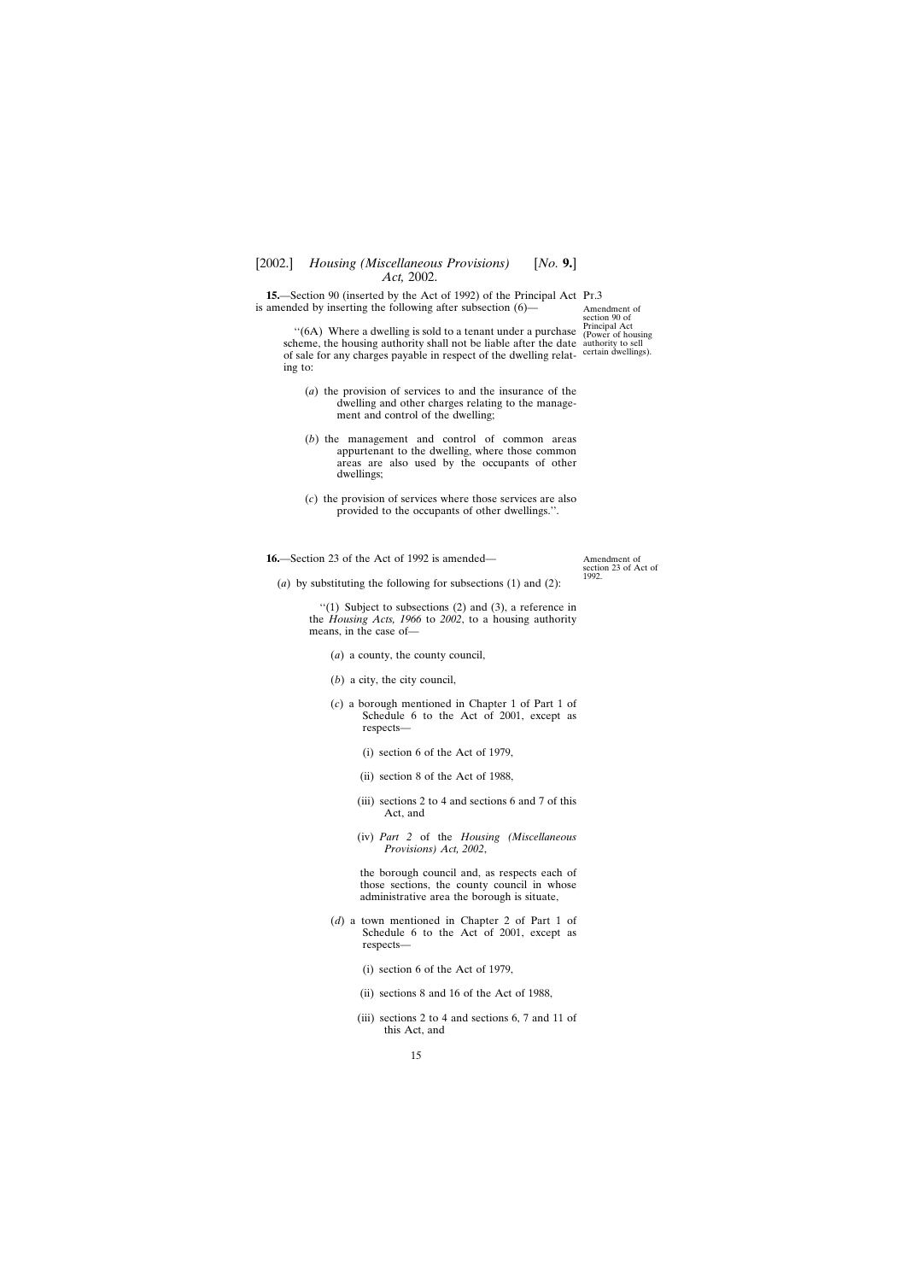<span id="page-14-0"></span>**15.**—Section 90 (inserted by the Act of 1992) of the Principal Act Pr.3 is amended by inserting the following after subsection (6)—

Amendment of section 90 of Principal Act (Power of housing

''(6A) Where a dwelling is sold to a tenant under a purchase scheme, the housing authority shall not be liable after the date authority to sell of sale for any charges payable in respect of the dwelling relat-certain dwellings). ing to:

- (*a*) the provision of services to and the insurance of the dwelling and other charges relating to the management and control of the dwelling;
- (*b*) the management and control of common areas appurtenant to the dwelling, where those common areas are also used by the occupants of other dwellings;
- (*c*) the provision of services where those services are also provided to the occupants of other dwellings.''.

**16.**—Section 23 of the Act of 1992 is amended—

Amendment of section 23 of Act of 1992.

(*a*) by substituting the following for subsections (1) and (2):

 $''(1)$  Subject to subsections (2) and (3), a reference in the *Housing Acts, 1966* to *2002*, to a housing authority means, in the case of—

- (*a*) a county, the county council,
- (*b*) a city, the city council,
- (*c*) a borough mentioned in Chapter 1 of Part 1 of Schedule 6 to the Act of 2001, except as respects—
	- (i) section 6 of the Act of 1979,
	- (ii) section 8 of the Act of 1988,
	- (iii) sections 2 to 4 and sections 6 and 7 of this Act, and
	- (iv) *Part 2* of the *Housing (Miscellaneous Provisions) Act, 2002*,

the borough council and, as respects each of those sections, the county council in whose administrative area the borough is situate,

- (*d*) a town mentioned in Chapter 2 of Part 1 of Schedule 6 to the Act of 2001, except as respects—
	- (i) section 6 of the Act of 1979,
	- (ii) sections 8 and 16 of the Act of 1988,
	- (iii) sections 2 to 4 and sections 6, 7 and 11 of this Act, and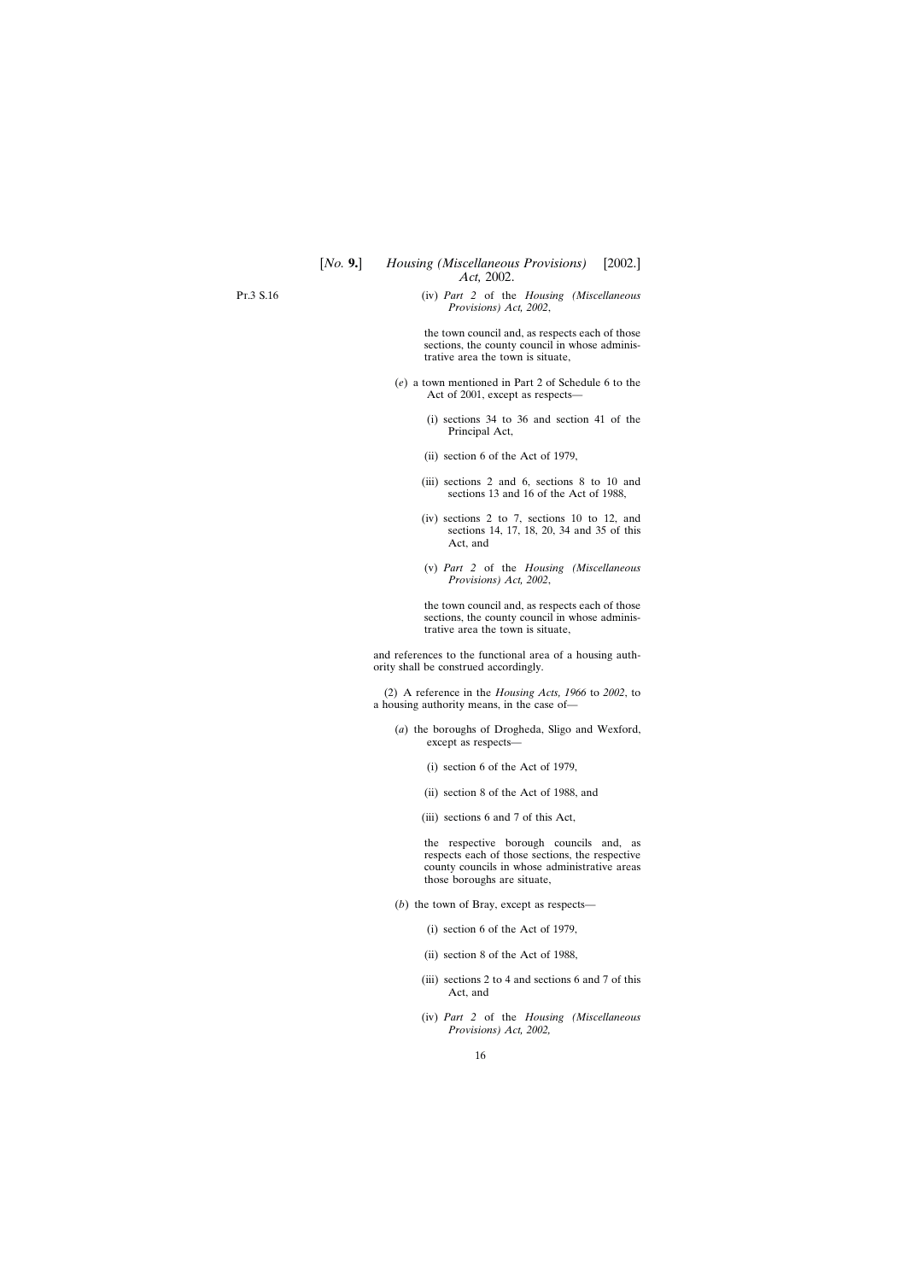(iv) *Part 2* of the *Housing (Miscellaneous Provisions) Act, 2002*,

the town council and, as respects each of those sections, the county council in whose administrative area the town is situate,

- (*e*) a town mentioned in Part 2 of Schedule 6 to the Act of 2001, except as respects—
	- (i) sections 34 to 36 and section 41 of the Principal Act,
	- (ii) section 6 of the Act of 1979,
	- (iii) sections 2 and 6, sections 8 to 10 and sections 13 and 16 of the Act of 1988,
	- (iv) sections 2 to 7, sections 10 to 12, and sections 14, 17, 18, 20, 34 and 35 of this Act, and
	- (v) *Part 2* of the *Housing (Miscellaneous Provisions) Act, 2002*,

the town council and, as respects each of those sections, the county council in whose administrative area the town is situate,

and references to the functional area of a housing authority shall be construed accordingly.

(2) A reference in the *Housing Acts, 1966* to *2002*, to a housing authority means, in the case of—

- (*a*) the boroughs of Drogheda, Sligo and Wexford, except as respects—
	- (i) section 6 of the Act of 1979,
	- (ii) section 8 of the Act of 1988, and
	- (iii) sections 6 and 7 of this Act,

the respective borough councils and, as respects each of those sections, the respective county councils in whose administrative areas those boroughs are situate,

- (*b*) the town of Bray, except as respects—
	- (i) section 6 of the Act of 1979,
	- (ii) section 8 of the Act of 1988,
	- (iii) sections 2 to 4 and sections 6 and 7 of this Act, and
	- (iv) *Part 2* of the *Housing (Miscellaneous Provisions) Act, 2002,*

Pt.3 S.16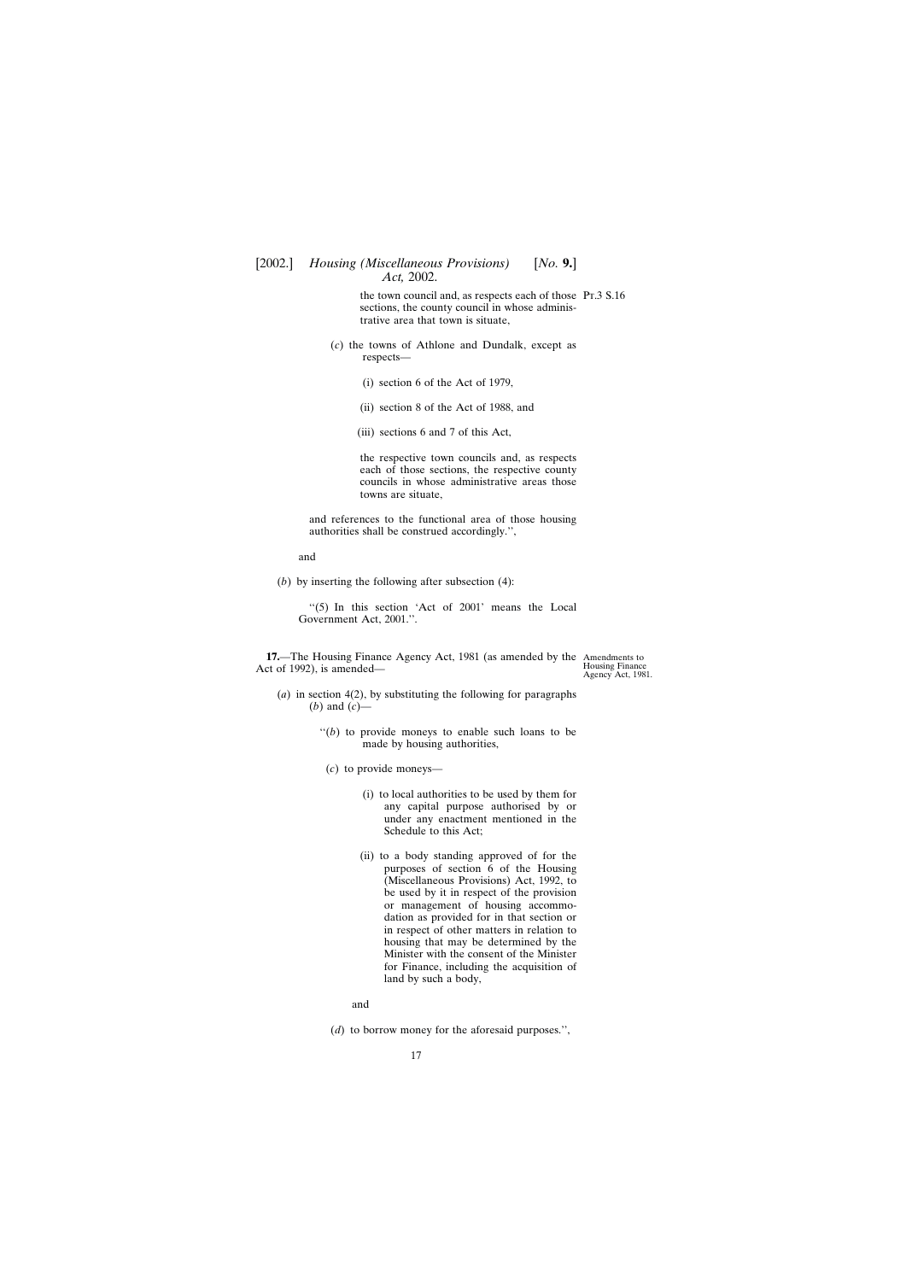<span id="page-16-0"></span>the town council and, as respects each of those Pt.3 S.16 sections, the county council in whose administrative area that town is situate,

- (*c*) the towns of Athlone and Dundalk, except as respects—
	- (i) section 6 of the Act of 1979,
	- (ii) section 8 of the Act of 1988, and
	- (iii) sections 6 and 7 of this Act,

the respective town councils and, as respects each of those sections, the respective county councils in whose administrative areas those towns are situate,

and references to the functional area of those housing authorities shall be construed accordingly.'',

and

(*b*) by inserting the following after subsection (4):

"(5) In this section 'Act of 2001' means the Local Government Act, 2001.''.

**17.**—The Housing Finance Agency Act, 1981 (as amended by the Amendments to Act of 1992), is amended—

Housing Finance Agency Act, 1981.

- (*a*) in section 4(2), by substituting the following for paragraphs (*b*) and (*c*)
	- $f'(b)$  to provide moneys to enable such loans to be made by housing authorities,
		- (*c*) to provide moneys—
			- (i) to local authorities to be used by them for any capital purpose authorised by or under any enactment mentioned in the Schedule to this Act;
			- (ii) to a body standing approved of for the purposes of section 6 of the Housing (Miscellaneous Provisions) Act, 1992, to be used by it in respect of the provision or management of housing accommodation as provided for in that section or in respect of other matters in relation to housing that may be determined by the Minister with the consent of the Minister for Finance, including the acquisition of land by such a body,

and

(*d*) to borrow money for the aforesaid purposes.'',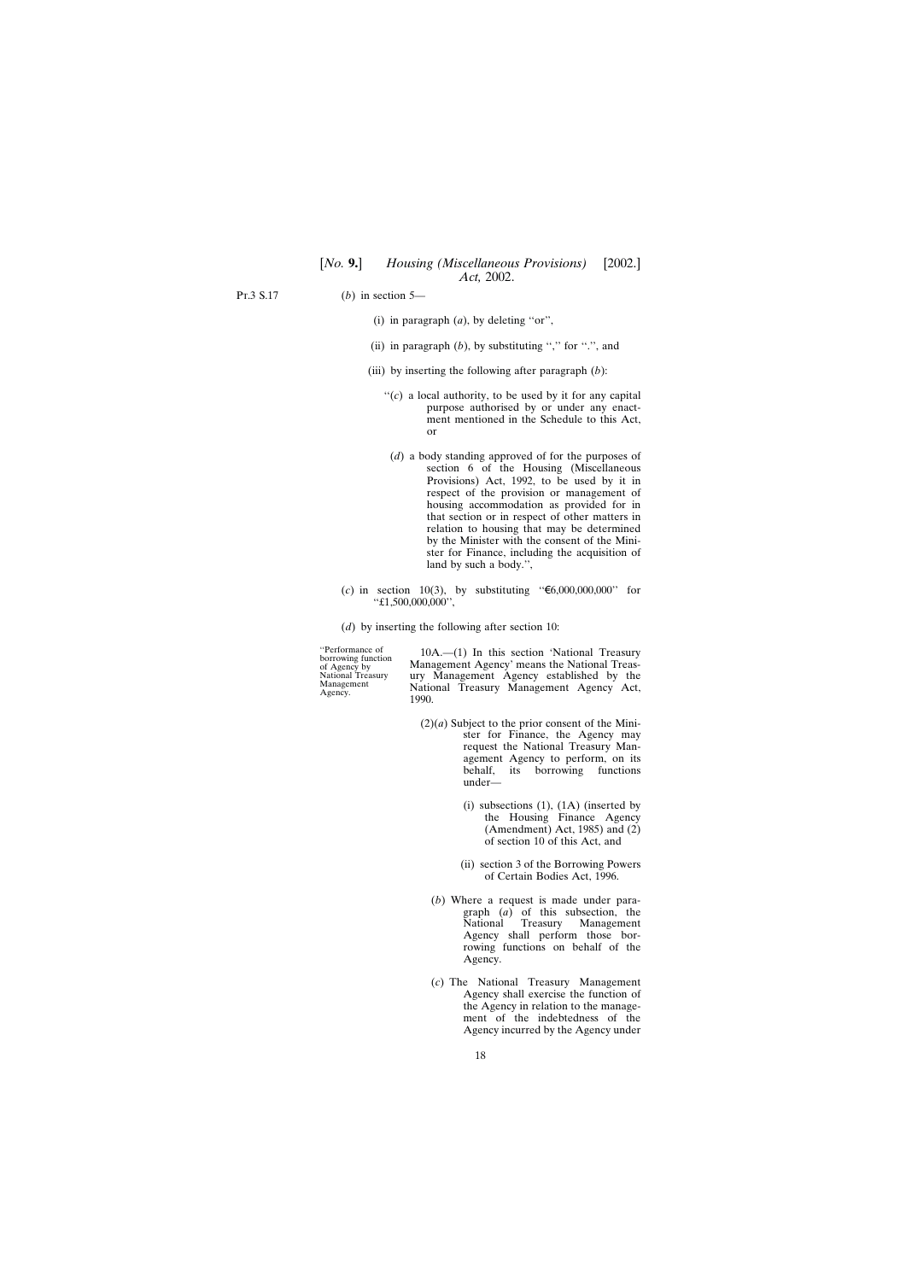Pt.3 S.17

(*b*) in section 5—

- (i) in paragraph (*a*), by deleting ''or'',
- (ii) in paragraph  $(b)$ , by substituting "," for ".", and
- (iii) by inserting the following after paragraph (*b*):
	- "(*c*) a local authority, to be used by it for any capital purpose authorised by or under any enactment mentioned in the Schedule to this Act, or
		- (*d*) a body standing approved of for the purposes of section 6 of the Housing (Miscellaneous Provisions) Act, 1992, to be used by it in respect of the provision or management of housing accommodation as provided for in that section or in respect of other matters in relation to housing that may be determined by the Minister with the consent of the Minister for Finance, including the acquisition of land by such a body.'',
- $(c)$  in section 10(3), by substituting " $\text{\textsterling}6,000,000,000$ " for ''£1,500,000,000'',
- (*d*) by inserting the following after section 10:

"Performance of 10A.—(1) In this section 'National Treasury<br>of Agency by Management Agency' means the National Treas-<br>National Treasury ury Management Agency established by the Management Agency' means the National Treas-National Treasury ury Management Agency established by the Management National Treasury Management Agency Act,  $\frac{1990}{1990}$ .

- $(2)(a)$  Subject to the prior consent of the Minister for Finance, the Agency may request the National Treasury Management Agency to perform, on its<br>behalf, its borrowing functions its borrowing functions under—
	- (i) subsections  $(1)$ ,  $(1A)$  (inserted by the Housing Finance Agency (Amendment) Act, 1985) and (2) of section 10 of this Act, and
	- (ii) section 3 of the Borrowing Powers of Certain Bodies Act, 1996.
	- (*b*) Where a request is made under paragraph (*a*) of this subsection, the National Treasury Management Agency shall perform those borrowing functions on behalf of the Agency.
	- (*c*) The National Treasury Management Agency shall exercise the function of the Agency in relation to the management of the indebtedness of the Agency incurred by the Agency under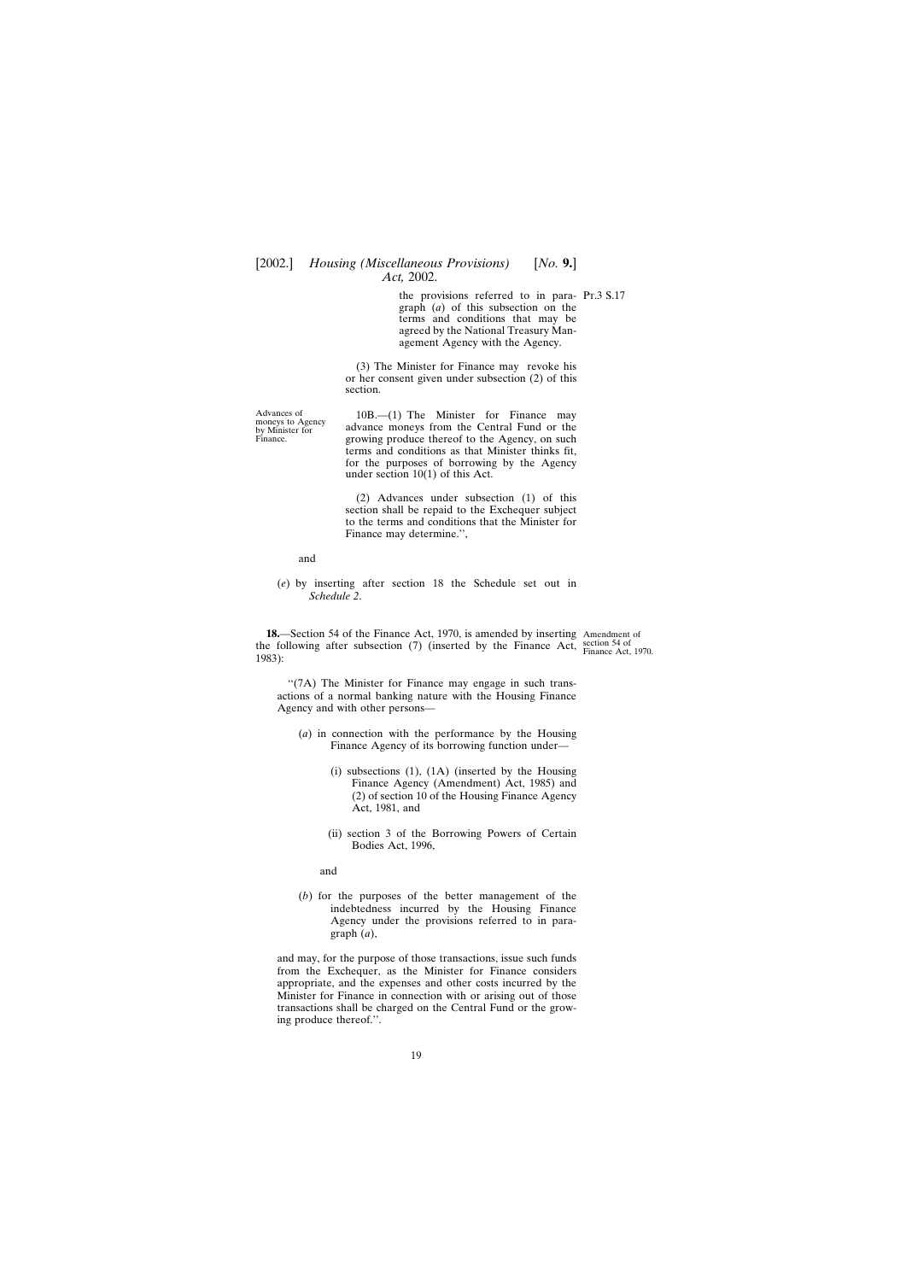the provisions referred to in para- Pr.3 S.17 graph (*a*) of this subsection on the terms and conditions that may be agreed by the National Treasury Management Agency with the Agency.

(3) The Minister for Finance may revoke his or her consent given under subsection (2) of this section.

<span id="page-18-0"></span>Advances of 10B.—(1) The Minister for Finance may<br>by Minister for advance moneys from the Central Fund or the by Minister for and advance moneys from the Central Fund or the By Minister for a proving produce thereof to the Agency on such growing produce thereof to the Agency, on such terms and conditions as that Minister thinks fit, for the purposes of borrowing by the Agency under section 10(1) of this Act.

> (2) Advances under subsection (1) of this section shall be repaid to the Exchequer subject to the terms and conditions that the Minister for Finance may determine.'',

and

(*e*) by inserting after section 18 the Schedule set out in *Schedule 2*.

**18.**—Section 54 of the Finance Act, 1970, is amended by inserting Amendment of the following after subsection (7) (inserted by the Finance Act, section 54 of  $\frac{1002}{2}$ 1983):

"(7A) The Minister for Finance may engage in such transactions of a normal banking nature with the Housing Finance Agency and with other persons—

- (*a*) in connection with the performance by the Housing Finance Agency of its borrowing function under—
	- (i) subsections (1), (1A) (inserted by the Housing Finance Agency (Amendment) Act, 1985) and (2) of section 10 of the Housing Finance Agency Act, 1981, and
	- (ii) section 3 of the Borrowing Powers of Certain Bodies Act, 1996,

and

(*b*) for the purposes of the better management of the indebtedness incurred by the Housing Finance Agency under the provisions referred to in paragraph (*a*),

and may, for the purpose of those transactions, issue such funds from the Exchequer, as the Minister for Finance considers appropriate, and the expenses and other costs incurred by the Minister for Finance in connection with or arising out of those transactions shall be charged on the Central Fund or the growing produce thereof.''.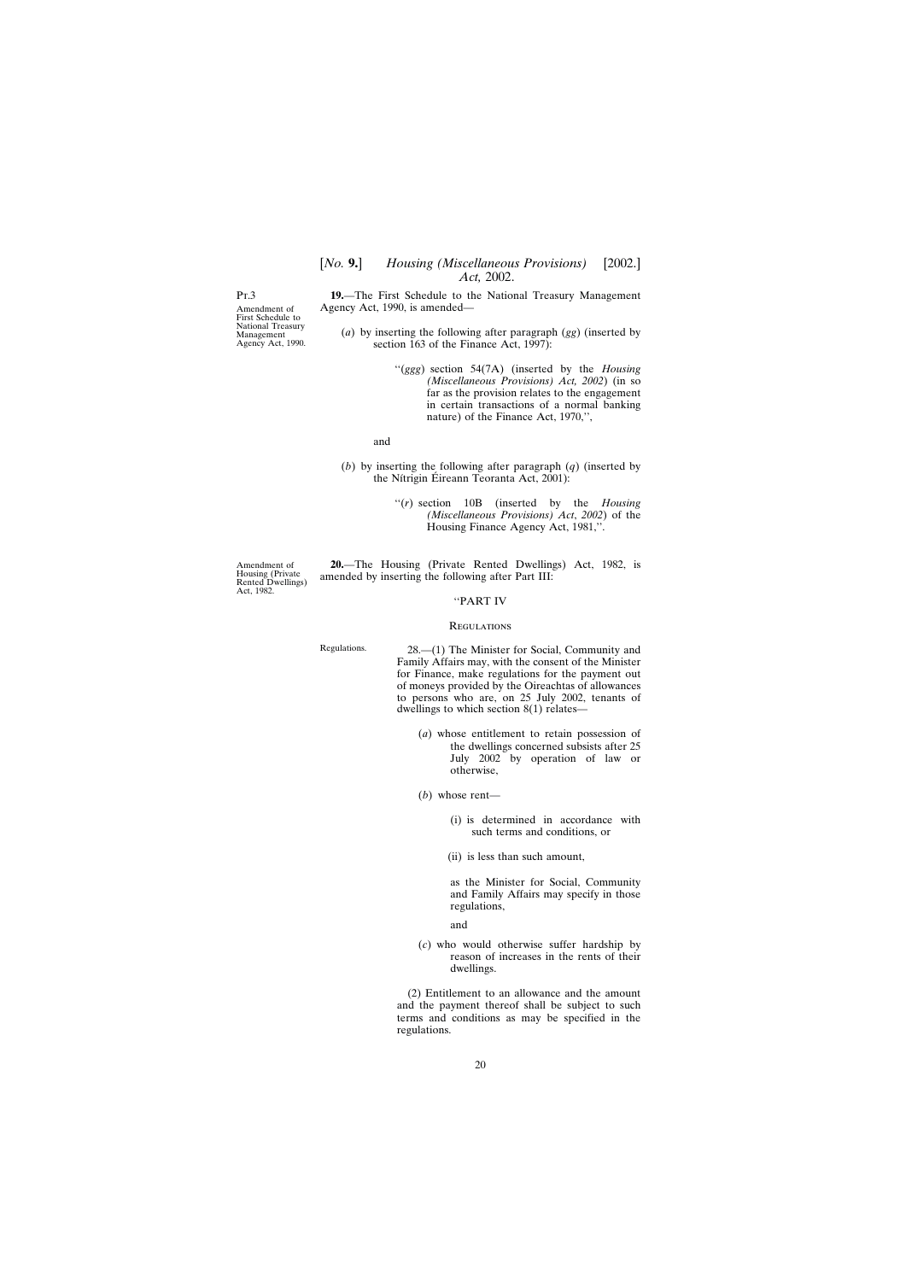[*No.* **9.**] *Housing (Miscellaneous Provisions)* [2002.] *Act,* 2002.

<span id="page-19-0"></span>Pt.3

Amendment of First Schedule to National Treasury Management Agency Act, 1990.

- **19.**—The First Schedule to the National Treasury Management Agency Act, 1990, is amended—
	- (*a*) by inserting the following after paragraph (*gg*) (inserted by section 163 of the Finance Act, 1997):
		- ''(*ggg*) section 54(7A) (inserted by the *Housing (Miscellaneous Provisions) Act, 2002*) (in so far as the provision relates to the engagement in certain transactions of a normal banking nature) of the Finance Act, 1970,'',

and

- (*b*) by inserting the following after paragraph (*q*) (inserted by the Nitrigin Éireann Teoranta Act, 2001):
	- ''(*r*) section 10B (inserted by the *Housing (Miscellaneous Provisions) Act*, *2002*) of the Housing Finance Agency Act, 1981,''.

Amendment of Housing (Private Rented Dwellings) Act, 1982.

**20.**—The Housing (Private Rented Dwellings) Act, 1982, is amended by inserting the following after Part III:

### ''PART IV

#### **REGULATIONS**

Regulations. 28.—(1) The Minister for Social, Community and Family Affairs may, with the consent of the Minister for Finance, make regulations for the payment out of moneys provided by the Oireachtas of allowances to persons who are, on 25 July 2002, tenants of dwellings to which section 8(1) relates—

- (*a*) whose entitlement to retain possession of the dwellings concerned subsists after 25 July 2002 by operation of law or otherwise,
- (*b*) whose rent—
	- (i) is determined in accordance with such terms and conditions, or
	- (ii) is less than such amount,

as the Minister for Social, Community and Family Affairs may specify in those regulations,

and

(*c*) who would otherwise suffer hardship by reason of increases in the rents of their dwellings.

(2) Entitlement to an allowance and the amount and the payment thereof shall be subject to such terms and conditions as may be specified in the regulations.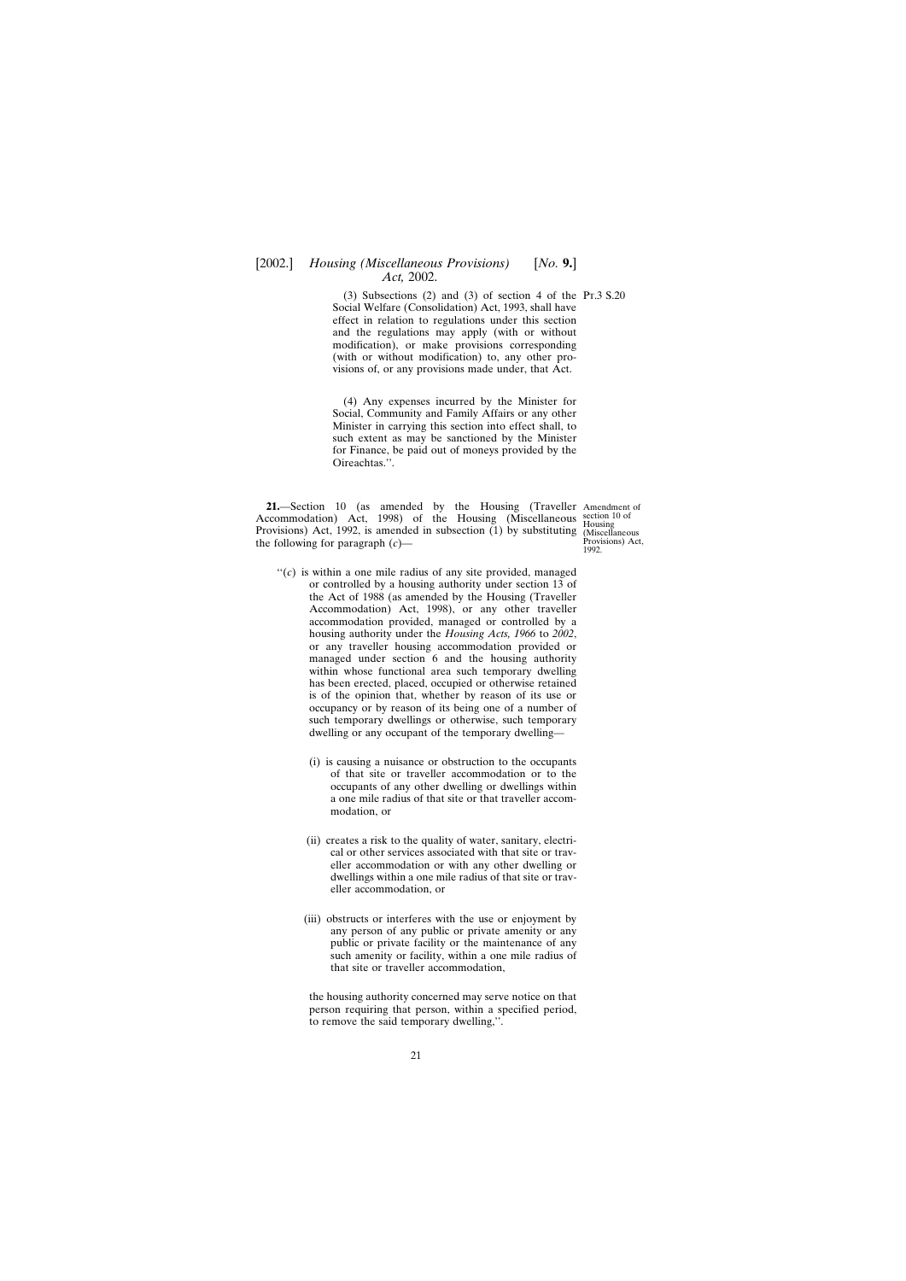<span id="page-20-0"></span>(3) Subsections (2) and (3) of section 4 of the Pr.3  $S.20$ Social Welfare (Consolidation) Act, 1993, shall have effect in relation to regulations under this section and the regulations may apply (with or without modification), or make provisions corresponding (with or without modification) to, any other provisions of, or any provisions made under, that Act.

(4) Any expenses incurred by the Minister for Social, Community and Family Affairs or any other Minister in carrying this section into effect shall, to such extent as may be sanctioned by the Minister for Finance, be paid out of moneys provided by the Oireachtas.''.

**21.**—Section 10 (as amended by the Housing (Traveller Amendment of Accommodation) Act, 1998) of the Housing (Miscellaneous section 10 of Provisions) Act, 1992, is amended in subsection (1) by substituting (Miscellaneous the following for paragraph (*c*)—

Provisions) Act, 1992.

- $\lq\lq$ <sup>( $c$ )</sup> is within a one mile radius of any site provided, managed or controlled by a housing authority under section 13 of the Act of 1988 (as amended by the Housing (Traveller Accommodation) Act, 1998), or any other traveller accommodation provided, managed or controlled by a housing authority under the *Housing Acts, 1966* to *2002*, or any traveller housing accommodation provided or managed under section 6 and the housing authority within whose functional area such temporary dwelling has been erected, placed, occupied or otherwise retained is of the opinion that, whether by reason of its use or occupancy or by reason of its being one of a number of such temporary dwellings or otherwise, such temporary dwelling or any occupant of the temporary dwelling—
	- (i) is causing a nuisance or obstruction to the occupants of that site or traveller accommodation or to the occupants of any other dwelling or dwellings within a one mile radius of that site or that traveller accommodation, or
	- (ii) creates a risk to the quality of water, sanitary, electrical or other services associated with that site or traveller accommodation or with any other dwelling or dwellings within a one mile radius of that site or traveller accommodation, or
	- (iii) obstructs or interferes with the use or enjoyment by any person of any public or private amenity or any public or private facility or the maintenance of any such amenity or facility, within a one mile radius of that site or traveller accommodation,

the housing authority concerned may serve notice on that person requiring that person, within a specified period, to remove the said temporary dwelling,''.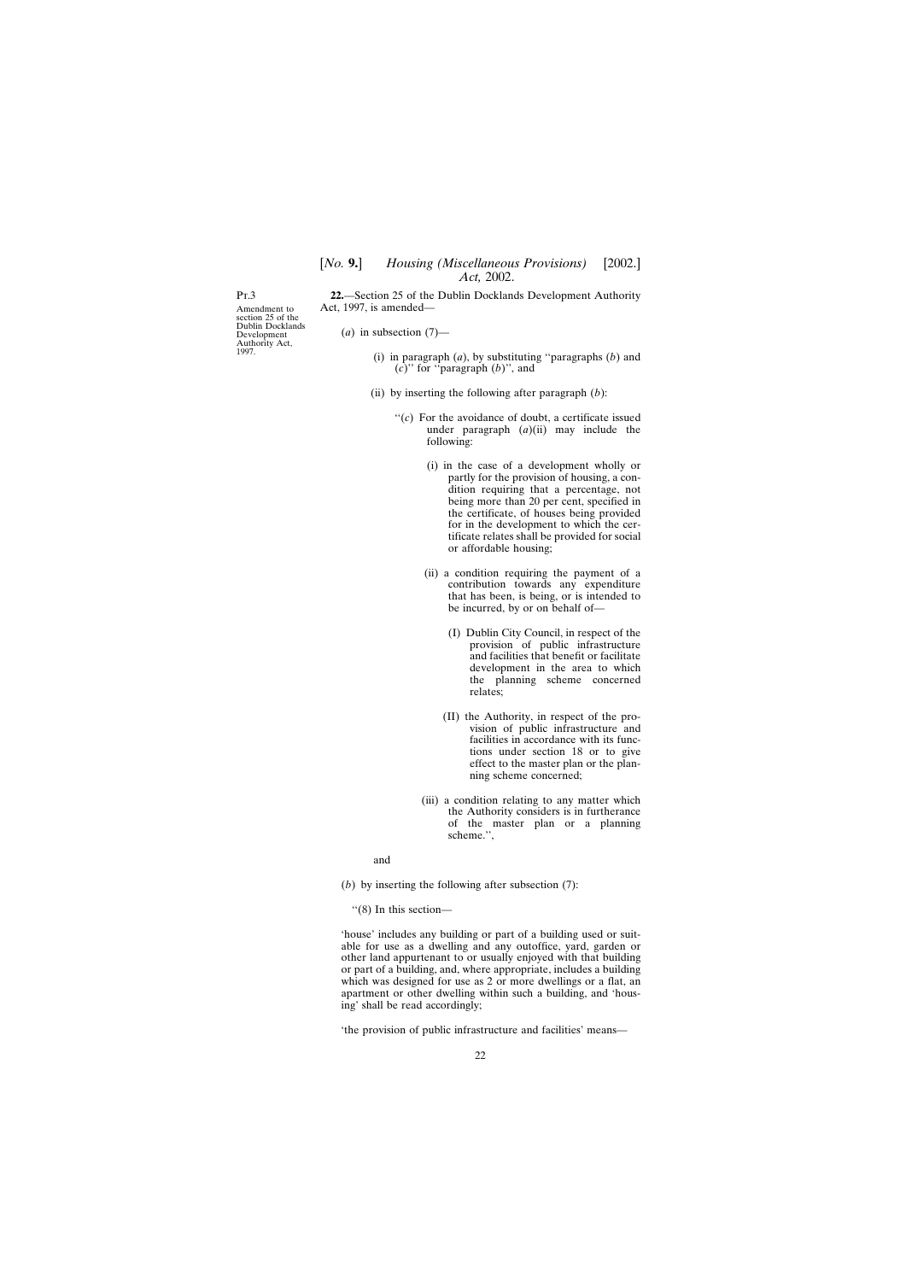<span id="page-21-0"></span>Pt.3

Amendment to section 25 of the Dublin Docklands Development Authority Act, 1997.

**22.**—Section 25 of the Dublin Docklands Development Authority Act, 1997, is amended—

- $(a)$  in subsection  $(7)$ 
	- (i) in paragraph (*a*), by substituting ''paragraphs (*b*) and (*c*)'' for ''paragraph (*b*)'', and
	- (ii) by inserting the following after paragraph (*b*):
		- $\lq\lq$ <sup>( $c$ )</sup> For the avoidance of doubt, a certificate issued under paragraph  $(a)(ii)$  may include the following:
			- (i) in the case of a development wholly or partly for the provision of housing, a condition requiring that a percentage, not being more than 20 per cent, specified in the certificate, of houses being provided for in the development to which the certificate relates shall be provided for social or affordable housing;
			- (ii) a condition requiring the payment of a contribution towards any expenditure that has been, is being, or is intended to be incurred, by or on behalf of—
				- (I) Dublin City Council, in respect of the provision of public infrastructure and facilities that benefit or facilitate development in the area to which the planning scheme concerned relates;
				- (II) the Authority, in respect of the provision of public infrastructure and facilities in accordance with its functions under section 18 or to give effect to the master plan or the planning scheme concerned;
			- (iii) a condition relating to any matter which the Authority considers is in furtherance of the master plan or a planning scheme.'',

and

(*b*) by inserting the following after subsection (7):

''(8) In this section—

'house' includes any building or part of a building used or suitable for use as a dwelling and any outoffice, yard, garden or other land appurtenant to or usually enjoyed with that building or part of a building, and, where appropriate, includes a building which was designed for use as 2 or more dwellings or a flat, an apartment or other dwelling within such a building, and 'housing' shall be read accordingly;

'the provision of public infrastructure and facilities' means—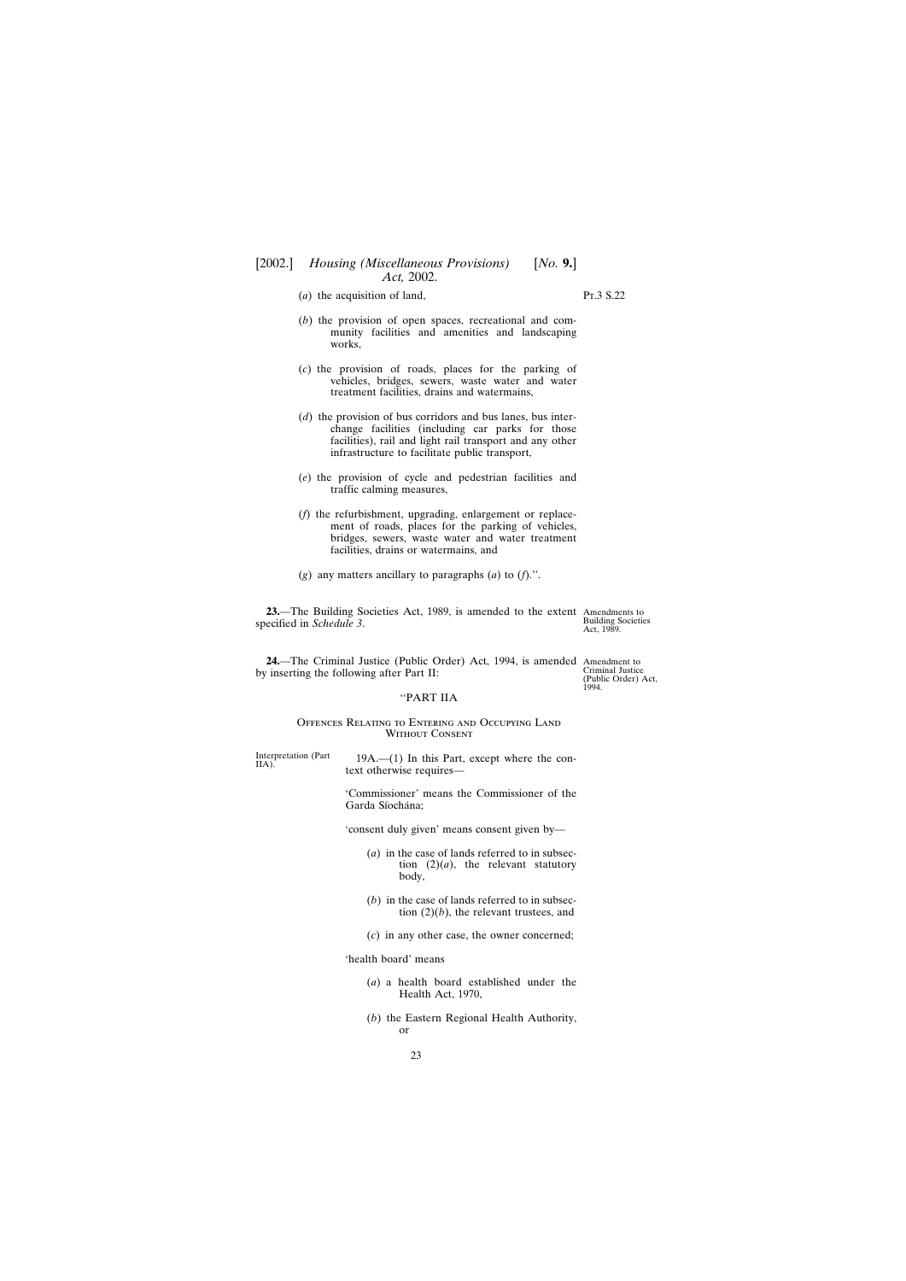- 
- <span id="page-22-0"></span>(*a*) the acquisition of land, Pt.3 S.22

- (*b*) the provision of open spaces, recreational and community facilities and amenities and landscaping works,
- (*c*) the provision of roads, places for the parking of vehicles, bridges, sewers, waste water and water treatment facilities, drains and watermains,
- (*d*) the provision of bus corridors and bus lanes, bus interchange facilities (including car parks for those facilities), rail and light rail transport and any other infrastructure to facilitate public transport,
- (*e*) the provision of cycle and pedestrian facilities and traffic calming measures,
- (*f*) the refurbishment, upgrading, enlargement or replacement of roads, places for the parking of vehicles, bridges, sewers, waste water and water treatment facilities, drains or watermains, and
- (*g*) any matters ancillary to paragraphs (*a*) to (*f*).''.

**23.**—The Building Societies Act, 1989, is amended to the extent Amendments to specified in *Schedule 3*.

Building Societies Act, 1989.

(Public Order) Act,

1994.

**24.**—The Criminal Justice (Public Order) Act, 1994, is amended Amendment to by inserting the following after Part II: Criminal Justice

#### ''PART IIA

#### Offences Relating to Entering and Occupying Land Without Consent

Interpretation (Part  $19A$ .—(1) In this Part, except where the con-<br>text otherwise requires—

'Commissioner' means the Commissioner of the Garda Síochána:

'consent duly given' means consent given by—

- (*a*) in the case of lands referred to in subsection  $(2)(a)$ , the relevant statutory body,
- (*b*) in the case of lands referred to in subsection (2)(*b*), the relevant trustees, and
- (*c*) in any other case, the owner concerned;

'health board' means

- (*a*) a health board established under the Health Act, 1970,
- (*b*) the Eastern Regional Health Authority, or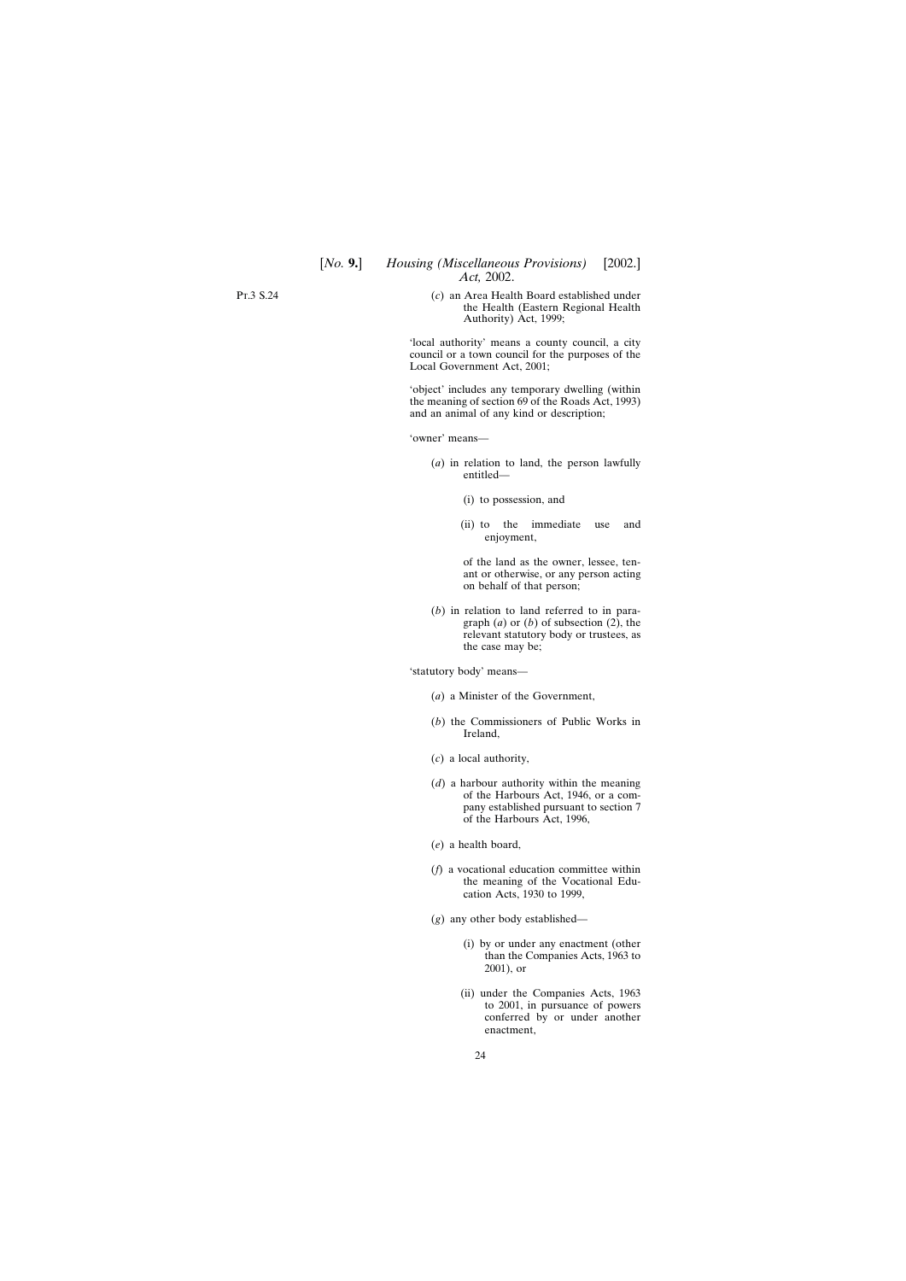Pt.3 S.24

(*c*) an Area Health Board established under the Health (Eastern Regional Health Authority) Act, 1999;

'local authority' means a county council, a city council or a town council for the purposes of the Local Government Act, 2001;

'object' includes any temporary dwelling (within the meaning of section 69 of the Roads Act, 1993) and an animal of any kind or description;

'owner' means—

- (*a*) in relation to land, the person lawfully entitled—
	- (i) to possession, and
	- (ii) to the immediate use and enjoyment,

of the land as the owner, lessee, tenant or otherwise, or any person acting on behalf of that person;

(*b*) in relation to land referred to in paragraph (*a*) or (*b*) of subsection (2), the relevant statutory body or trustees, as the case may be;

'statutory body' means—

- (*a*) a Minister of the Government,
- (*b*) the Commissioners of Public Works in Ireland,
- (*c*) a local authority,
- (*d*) a harbour authority within the meaning of the Harbours Act, 1946, or a company established pursuant to section 7 of the Harbours Act, 1996,
- (*e*) a health board,
- (*f*) a vocational education committee within the meaning of the Vocational Education Acts, 1930 to 1999,
- (*g*) any other body established—
	- (i) by or under any enactment (other than the Companies Acts, 1963 to 2001), or
	- (ii) under the Companies Acts, 1963 to 2001, in pursuance of powers conferred by or under another enactment,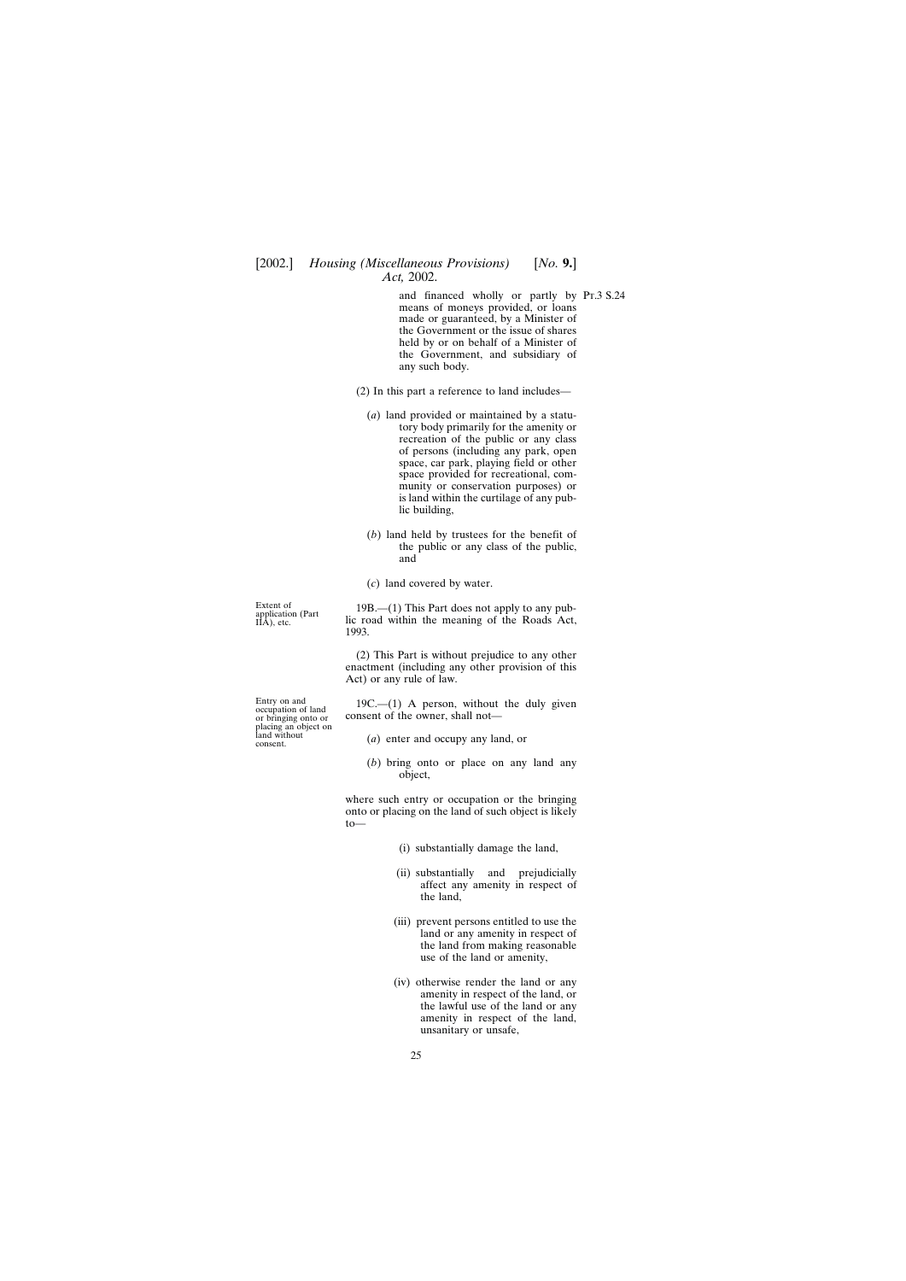and financed wholly or partly by Pt.3 S.24 means of moneys provided, or loans made or guaranteed, by a Minister of the Government or the issue of shares held by or on behalf of a Minister of the Government, and subsidiary of any such body.

(2) In this part a reference to land includes—

- (*a*) land provided or maintained by a statutory body primarily for the amenity or recreation of the public or any class of persons (including any park, open space, car park, playing field or other space provided for recreational, community or conservation purposes) or is land within the curtilage of any public building,
- (*b*) land held by trustees for the benefit of the public or any class of the public, and

(*c*) land covered by water.

Extent of 19B.—(1) This Part does not apply to any pub-<br>
IIA), etc. lic road within the meaning of the Roads Act, 1993.

> (2) This Part is without prejudice to any other enactment (including any other provision of this Act) or any rule of law.

Entry on and  $19C$ —(1) A person, without the duly given or bringing onto or consent of the owner, shall not consent of the owner, shall not—

- land without (*a*) enter and occupy any land, or consent.
	- (*b*) bring onto or place on any land any object,

where such entry or occupation or the bringing onto or placing on the land of such object is likely to—

- (i) substantially damage the land,
- (ii) substantially and prejudicially affect any amenity in respect of the land,
- (iii) prevent persons entitled to use the land or any amenity in respect of the land from making reasonable use of the land or amenity,
- (iv) otherwise render the land or any amenity in respect of the land, or the lawful use of the land or any amenity in respect of the land, unsanitary or unsafe,

placing an object on<br>land without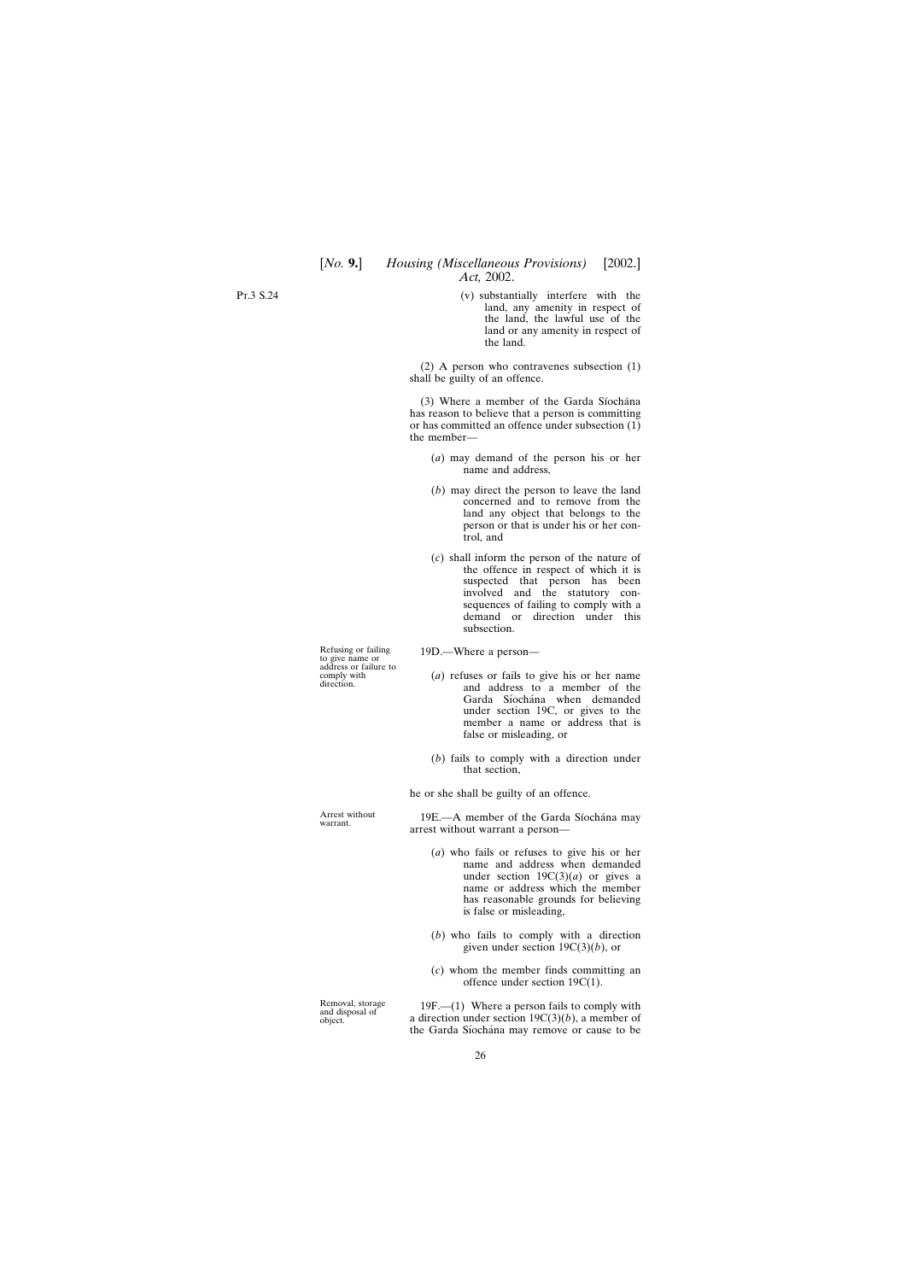Pt.3 S.24

(v) substantially interfere with the land, any amenity in respect of the land, the lawful use of the land or any amenity in respect of the land.

(2) A person who contravenes subsection (1) shall be guilty of an offence.

(3) Where a member of the Garda Síochána has reason to believe that a person is committing or has committed an offence under subsection  $(1)$ the member—

- (*a*) may demand of the person his or her name and address,
- (*b*) may direct the person to leave the land concerned and to remove from the land any object that belongs to the person or that is under his or her control, and
- (*c*) shall inform the person of the nature of the offence in respect of which it is suspected that person has been involved and the statutory consequences of failing to comply with a demand or direction under this subsection.

Refusing or failing 19D.—Where a person—

- comply with (*a*) refuses or fails to give his or her name direction. <br>and address to a member of the Garda Síochána when demanded under section 19C, or gives to the member a name or address that is false or misleading, or
	- (*b*) fails to comply with a direction under that section,

he or she shall be guilty of an offence.

Arrest without 19E.—A member of the Garda Síochána may arrest without warrant a person—

- (*a*) who fails or refuses to give his or her name and address when demanded under section  $19C(3)(a)$  or gives a name or address which the member has reasonable grounds for believing is false or misleading,
- (*b*) who fails to comply with a direction given under section 19C(3)(*b*), or
- (*c*) whom the member finds committing an offence under section 19C(1).

Removal, storage 19F.—(1) Where a person fails to comply with and disposal of a direction under section  $19C(3)(b)$ , a member of a direction under section  $19C(3)(b)$ , a member of the Garda Síochána may remove or cause to be

to give name or<br>address or failure to<br>comply with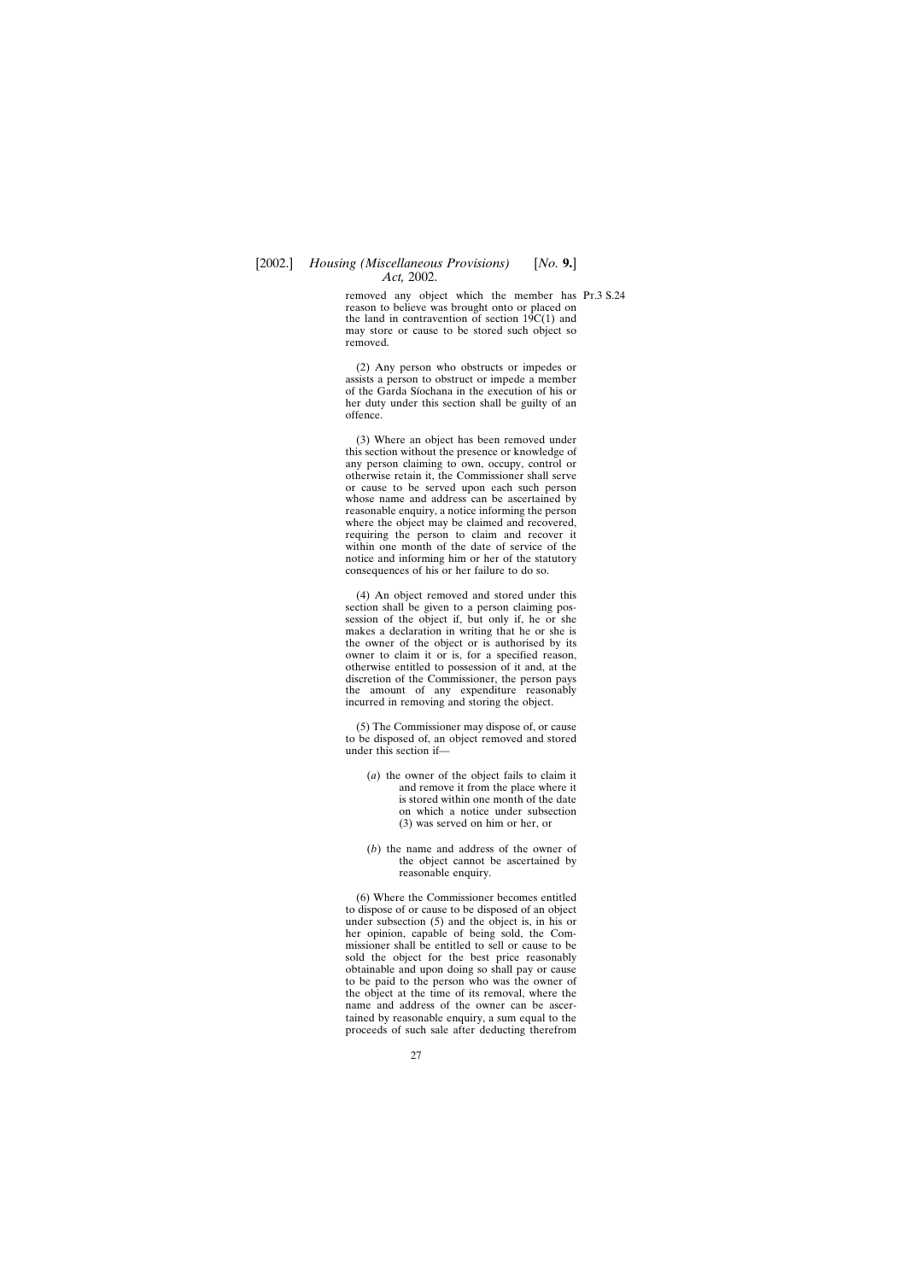removed any object which the member has Pr.3 S.24 reason to believe was brought onto or placed on the land in contravention of section  $19C(1)$  and may store or cause to be stored such object so removed.

(2) Any person who obstructs or impedes or assists a person to obstruct or impede a member of the Garda Sı´ochana in the execution of his or her duty under this section shall be guilty of an offence.

(3) Where an object has been removed under this section without the presence or knowledge of any person claiming to own, occupy, control or otherwise retain it, the Commissioner shall serve or cause to be served upon each such person whose name and address can be ascertained by reasonable enquiry, a notice informing the person where the object may be claimed and recovered, requiring the person to claim and recover it within one month of the date of service of the notice and informing him or her of the statutory consequences of his or her failure to do so.

(4) An object removed and stored under this section shall be given to a person claiming possession of the object if, but only if, he or she makes a declaration in writing that he or she is the owner of the object or is authorised by its owner to claim it or is, for a specified reason, otherwise entitled to possession of it and, at the discretion of the Commissioner, the person pays the amount of any expenditure reasonably incurred in removing and storing the object.

(5) The Commissioner may dispose of, or cause to be disposed of, an object removed and stored under this section if—

- (*a*) the owner of the object fails to claim it and remove it from the place where it is stored within one month of the date on which a notice under subsection (3) was served on him or her, or
- (*b*) the name and address of the owner of the object cannot be ascertained by reasonable enquiry.

(6) Where the Commissioner becomes entitled to dispose of or cause to be disposed of an object under subsection (5) and the object is, in his or her opinion, capable of being sold, the Commissioner shall be entitled to sell or cause to be sold the object for the best price reasonably obtainable and upon doing so shall pay or cause to be paid to the person who was the owner of the object at the time of its removal, where the name and address of the owner can be ascertained by reasonable enquiry, a sum equal to the proceeds of such sale after deducting therefrom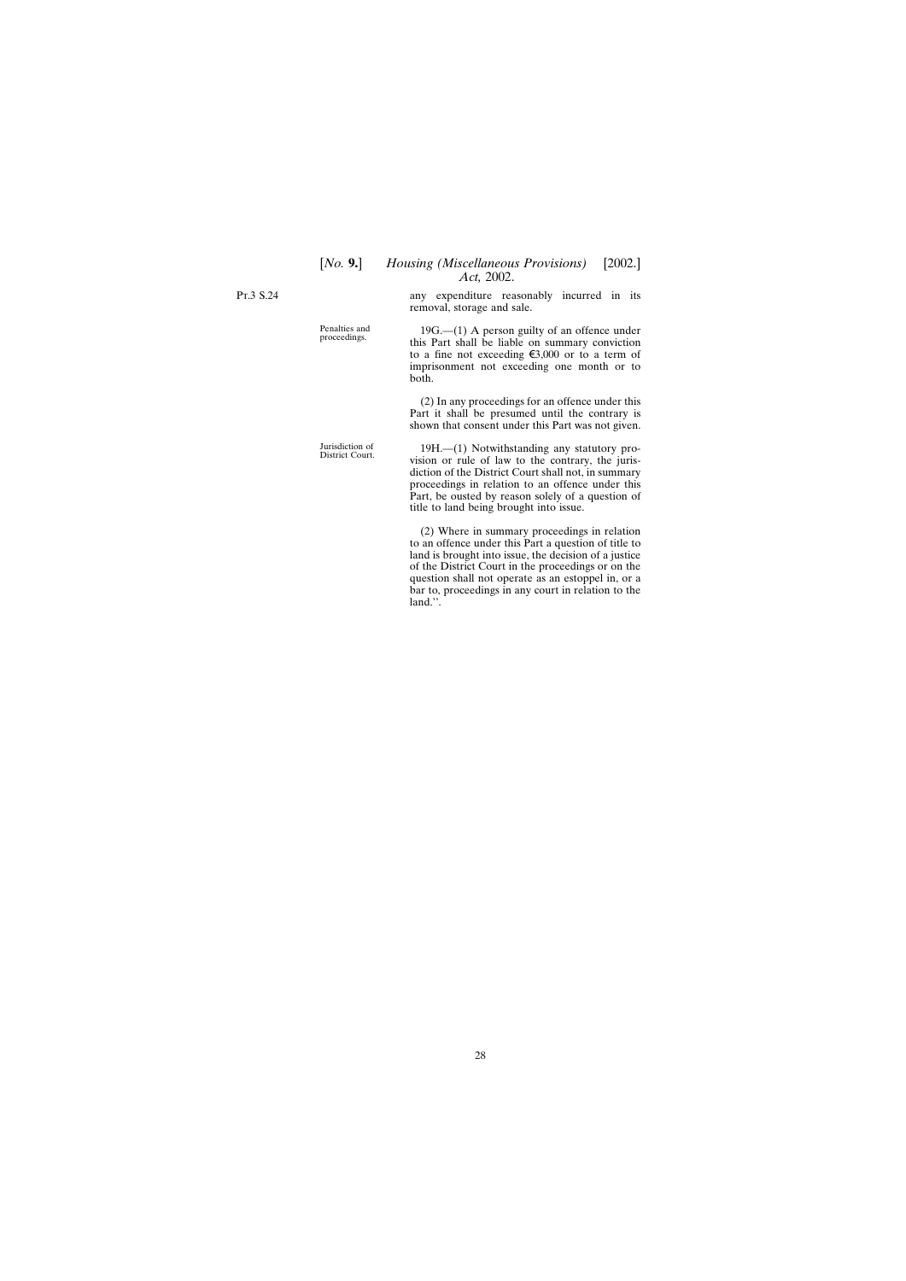## [*No.* **9.**] *Housing (Miscellaneous Provisions)* [2002.] *Act,* 2002.

Pt.3 S.24

any expenditure reasonably incurred in its removal, storage and sale.

Penalties and 19G.—(1) A person guilty of an offence under proceedings. this Part shall be liable on summary conviction to a fine not exceeding  $\xi$ 3,000 or to a term of imprisonment not exceeding one month or to both.

> (2) In any proceedings for an offence under this Part it shall be presumed until the contrary is shown that consent under this Part was not given.

Jurisdiction of 19H.—(1) Notwithstanding any statutory pro- District Court. vision or rule of law to the contrary, the jurisdiction of the District Court shall not, in summary proceedings in relation to an offence under this Part, be ousted by reason solely of a question of title to land being brought into issue.

> (2) Where in summary proceedings in relation to an offence under this Part a question of title to land is brought into issue, the decision of a justice of the District Court in the proceedings or on the question shall not operate as an estoppel in, or a bar to, proceedings in any court in relation to the land.''.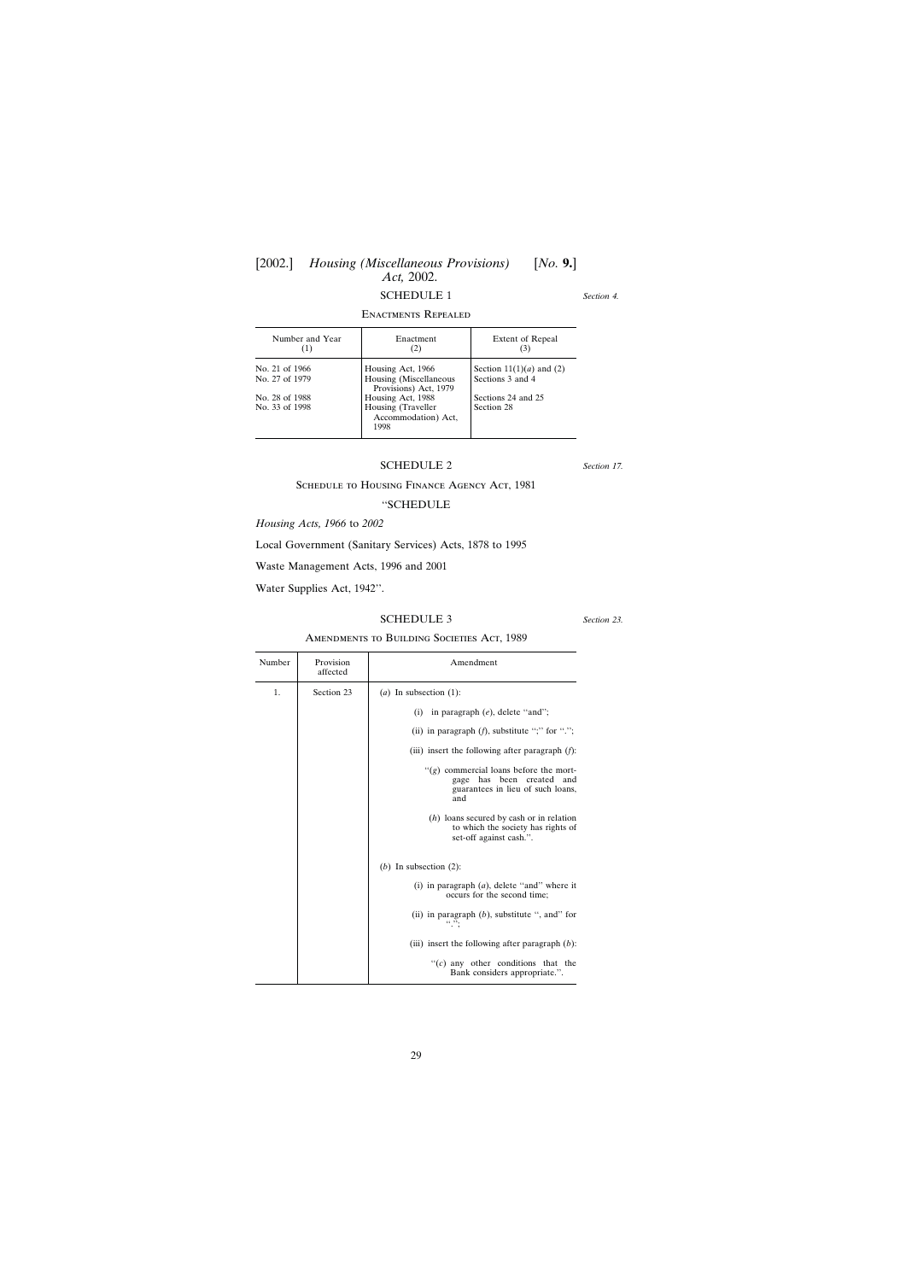# <span id="page-28-0"></span>[2002.] *Housing (Miscellaneous Provisions)* [*No.* **9.**] *Act,* 2002.

# SCHEDULE 1

## Enactments Repealed

| Number and Year<br>(1) | Enactment<br>(2)                                  | Extent of Repeal           |
|------------------------|---------------------------------------------------|----------------------------|
| No. 21 of 1966         | Housing Act, 1966                                 | Section $11(1)(a)$ and (2) |
| No. 27 of 1979         | Housing (Miscellaneous<br>Provisions) Act, 1979   | Sections 3 and 4           |
| No. 28 of 1988         | Housing Act, 1988                                 | Sections 24 and 25         |
| No. 33 of 1998         | Housing (Traveller<br>Accommodation) Act,<br>1998 | Section 28                 |

## SCHEDULE 2

## Schedule to Housing Finance Agency Act, 1981

## ''SCHEDULE

*Housing Acts, 1966* to *2002*

Local Government (Sanitary Services) Acts, 1878 to 1995

Waste Management Acts, 1996 and 2001

Water Supplies Act, 1942''.

## SCHEDULE 3

*Section 23.*

## Amendments to Building Societies Act, 1989

| Number | Provision<br>affected | Amendment                                                                                                                |
|--------|-----------------------|--------------------------------------------------------------------------------------------------------------------------|
| 1.     | Section 23            | ( <i>a</i> ) In subsection $(1)$ :                                                                                       |
|        |                       | in paragraph $(e)$ , delete "and";<br>(i)                                                                                |
|        |                       | (ii) in paragraph $(f)$ , substitute ";" for ".";                                                                        |
|        |                       | (iii) insert the following after paragraph $(f)$ :                                                                       |
|        |                       | " $(g)$ commercial loans before the mort-<br>has been created<br>gage<br>and<br>guarantees in lieu of such loans,<br>and |
|        |                       | $(h)$ loans secured by cash or in relation<br>to which the society has rights of<br>set-off against cash.".              |
|        |                       | (b) In subsection $(2)$ :                                                                                                |
|        |                       | (i) in paragraph $(a)$ , delete "and" where it<br>occurs for the second time;                                            |
|        |                       | (ii) in paragraph $(b)$ , substitute ", and" for<br>(0, 99)                                                              |
|        |                       | (iii) insert the following after paragraph $(b)$ :                                                                       |
|        |                       | " $(c)$ any other conditions that the<br>Bank considers appropriate.".                                                   |

*Section 4.*

*Section 17.*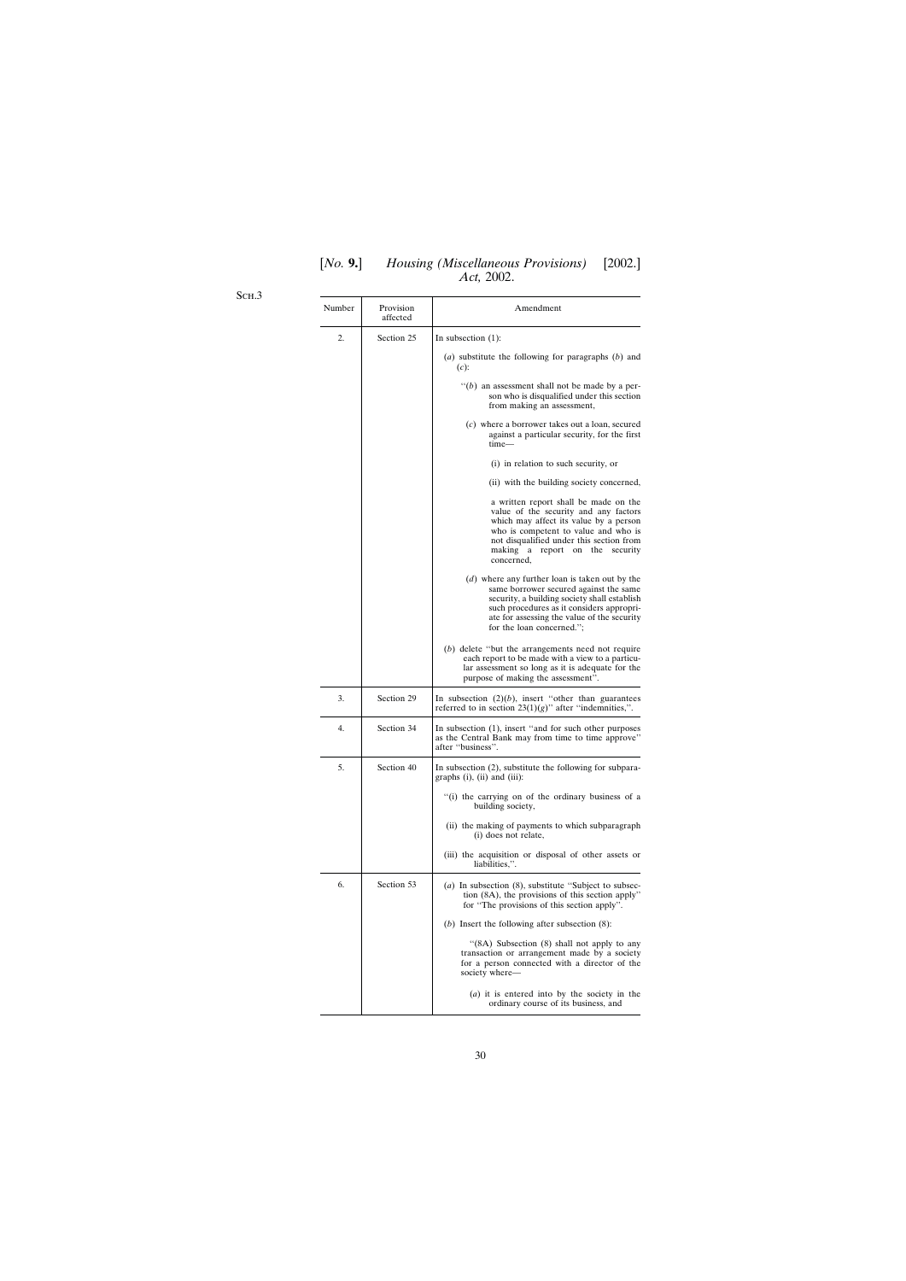# [*No.* **9.**] *Housing (Miscellaneous Provisions)* [2002.] *Act,* 2002.

Sch.3

| Number | Provision<br>affected | Amendment                                                                                                                                                                                                                                                         |
|--------|-----------------------|-------------------------------------------------------------------------------------------------------------------------------------------------------------------------------------------------------------------------------------------------------------------|
| 2.     | Section 25            | In subsection $(1)$ :                                                                                                                                                                                                                                             |
|        |                       | (a) substitute the following for paragraphs $(b)$ and<br>$(c)$ :                                                                                                                                                                                                  |
|        |                       | $``(b)$ an assessment shall not be made by a per-<br>son who is disqualified under this section<br>from making an assessment,                                                                                                                                     |
|        |                       | $(c)$ where a borrower takes out a loan, secured<br>against a particular security, for the first<br>time—                                                                                                                                                         |
|        |                       | (i) in relation to such security, or                                                                                                                                                                                                                              |
|        |                       | (ii) with the building society concerned,                                                                                                                                                                                                                         |
|        |                       | a written report shall be made on the<br>value of the security and any factors<br>which may affect its value by a person<br>who is competent to value and who is<br>not disqualified under this section from<br>making a report on the<br>security<br>concerned,  |
|        |                       | (d) where any further loan is taken out by the<br>same borrower secured against the same<br>security, a building society shall establish<br>such procedures as it considers appropri-<br>ate for assessing the value of the security<br>for the loan concerned."; |
|        |                       | $(b)$ delete "but the arrangements need not require<br>each report to be made with a view to a particu-<br>lar assessment so long as it is adequate for the<br>purpose of making the assessment".                                                                 |
| 3.     | Section 29            | In subsection $(2)(b)$ , insert "other than guarantees"<br>referred to in section $23(1)(g)$ " after "indemnities,".                                                                                                                                              |
| 4.     | Section 34            | In subsection (1), insert "and for such other purposes<br>as the Central Bank may from time to time approve"<br>after "business".                                                                                                                                 |
| 5.     | Section 40            | In subsection (2), substitute the following for subpara-<br>graphs (i), (ii) and (iii):                                                                                                                                                                           |
|        |                       | "(i) the carrying on of the ordinary business of a<br>building society,                                                                                                                                                                                           |
|        |                       | (ii) the making of payments to which subparagraph<br>(i) does not relate,                                                                                                                                                                                         |
|        |                       | (iii) the acquisition or disposal of other assets or<br>liabilities,".                                                                                                                                                                                            |
| 6.     | Section 53            | (a) In subsection $(8)$ , substitute "Subject to subsec-<br>tion (8A), the provisions of this section apply"<br>for "The provisions of this section apply".                                                                                                       |
|        |                       | (b) Insert the following after subsection $(8)$ :                                                                                                                                                                                                                 |
|        |                       | " $(8A)$ Subsection $(8)$ shall not apply to any<br>transaction or arrangement made by a society<br>for a person connected with a director of the<br>society where-                                                                                               |
|        |                       | $(a)$ it is entered into by the society in the<br>ordinary course of its business, and                                                                                                                                                                            |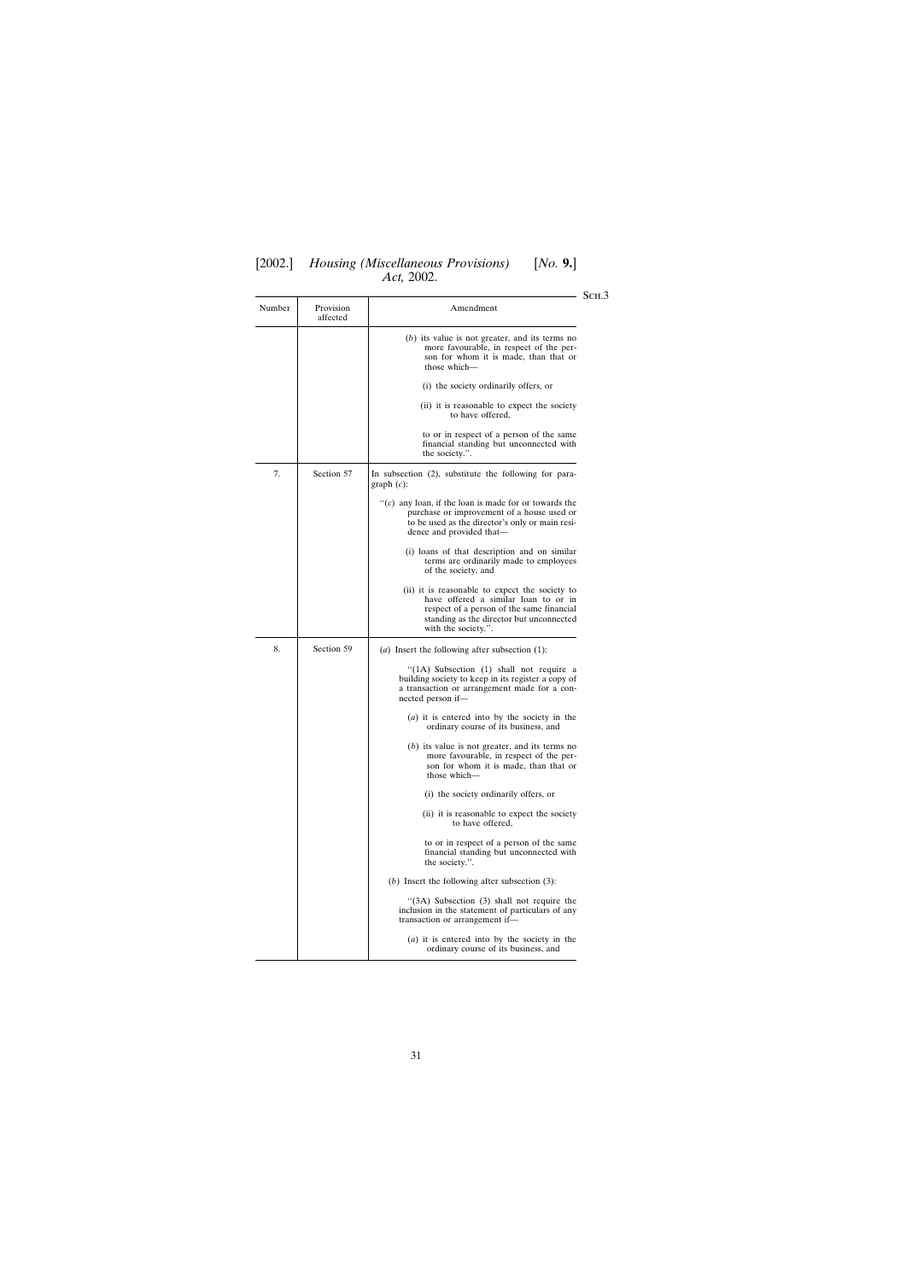# [2002.] *Housing (Miscellaneous Provisions)* [*No.* **9.**] *Act,* 2002.

| 110, 2002.<br>SCH.3 |                                                                                                                                     |                                                                                                                                                                                                        |
|---------------------|-------------------------------------------------------------------------------------------------------------------------------------|--------------------------------------------------------------------------------------------------------------------------------------------------------------------------------------------------------|
| Number              | Provision<br>affected                                                                                                               | Amendment                                                                                                                                                                                              |
|                     |                                                                                                                                     | $(b)$ its value is not greater, and its terms no<br>more favourable, in respect of the per-<br>son for whom it is made, than that or<br>those which-                                                   |
|                     |                                                                                                                                     | (i) the society ordinarily offers, or                                                                                                                                                                  |
|                     |                                                                                                                                     | (ii) it is reasonable to expect the society<br>to have offered,                                                                                                                                        |
|                     |                                                                                                                                     | to or in respect of a person of the same<br>financial standing but unconnected with<br>the society.".                                                                                                  |
| 7.                  | Section 57                                                                                                                          | In subsection (2), substitute the following for para-<br>graph $(c)$ :                                                                                                                                 |
|                     |                                                                                                                                     | "(c) any loan, if the loan is made for or towards the<br>purchase or improvement of a house used or<br>to be used as the director's only or main resi-<br>dence and provided that—                     |
|                     |                                                                                                                                     | (i) loans of that description and on similar<br>terms are ordinarily made to employees<br>of the society, and                                                                                          |
|                     |                                                                                                                                     | (ii) it is reasonable to expect the society to<br>have offered a similar loan to or in<br>respect of a person of the same financial<br>standing as the director but unconnected<br>with the society.". |
| 8.                  | Section 59                                                                                                                          | ( <i>a</i> ) Insert the following after subsection $(1)$ :                                                                                                                                             |
|                     |                                                                                                                                     | " $(1A)$ Subsection $(1)$ shall not require a<br>building society to keep in its register a copy of<br>a transaction or arrangement made for a con-<br>nected person if-                               |
|                     |                                                                                                                                     | $(a)$ it is entered into by the society in the<br>ordinary course of its business, and                                                                                                                 |
|                     |                                                                                                                                     | $(b)$ its value is not greater, and its terms no<br>more favourable, in respect of the per-<br>son for whom it is made, than that or<br>those which-                                                   |
|                     |                                                                                                                                     | (i) the society ordinarily offers, or                                                                                                                                                                  |
|                     | (ii) it is reasonable to expect the society<br>to have offered,                                                                     |                                                                                                                                                                                                        |
|                     | to or in respect of a person of the same<br>financial standing but unconnected with<br>the society.".                               |                                                                                                                                                                                                        |
|                     |                                                                                                                                     | $(b)$ Insert the following after subsection $(3)$ :                                                                                                                                                    |
|                     | $(3A)$ Subsection $(3)$ shall not require the<br>inclusion in the statement of particulars of any<br>transaction or arrangement if- |                                                                                                                                                                                                        |
|                     |                                                                                                                                     | $(a)$ it is entered into by the society in the<br>ordinary course of its business, and                                                                                                                 |